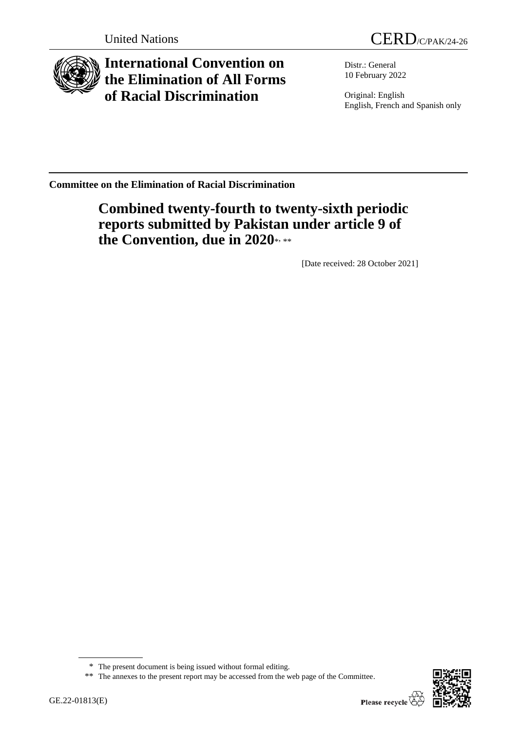

**International Convention on the Elimination of All Forms of Racial Discrimination**

United Nations CERD/C/PAK/24-26

Distr.: General 10 February 2022

Original: English English, French and Spanish only

**Committee on the Elimination of Racial Discrimination**

# **Combined twenty-fourth to twenty-sixth periodic reports submitted by Pakistan under article 9 of**  the Convention, due in 2020\*

[Date received: 28 October 2021]



<sup>\*</sup> The present document is being issued without formal editing.

<sup>\*\*</sup> The annexes to the present report may be accessed from the web page of the Committee.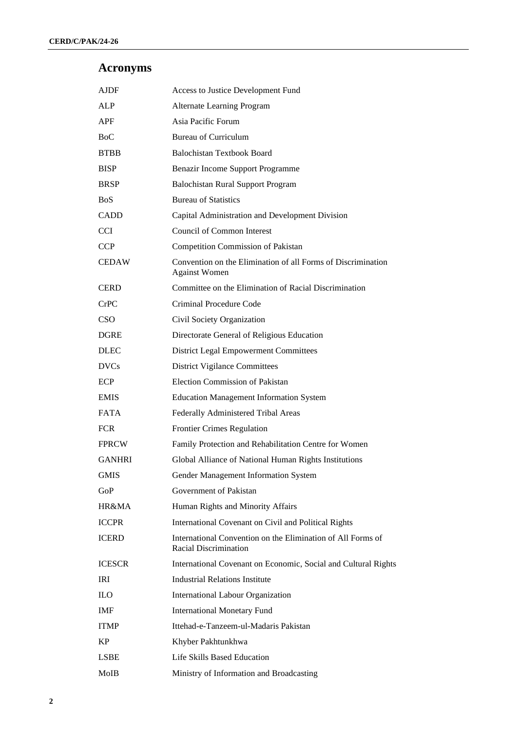# **Acronyms**

| <b>AJDF</b>      | Access to Justice Development Fund                                                   |
|------------------|--------------------------------------------------------------------------------------|
| ALP              | <b>Alternate Learning Program</b>                                                    |
| <b>APF</b>       | Asia Pacific Forum                                                                   |
| <b>BoC</b>       | <b>Bureau of Curriculum</b>                                                          |
| <b>BTBB</b>      | <b>Balochistan Textbook Board</b>                                                    |
| <b>BISP</b>      | Benazir Income Support Programme                                                     |
| <b>BRSP</b>      | <b>Balochistan Rural Support Program</b>                                             |
| <b>BoS</b>       | <b>Bureau of Statistics</b>                                                          |
| <b>CADD</b>      | Capital Administration and Development Division                                      |
| <b>CCI</b>       | Council of Common Interest                                                           |
| <b>CCP</b>       | Competition Commission of Pakistan                                                   |
| <b>CEDAW</b>     | Convention on the Elimination of all Forms of Discrimination<br><b>Against Women</b> |
| <b>CERD</b>      | Committee on the Elimination of Racial Discrimination                                |
| CrPC             | Criminal Procedure Code                                                              |
| CSO <sup>.</sup> | Civil Society Organization                                                           |
| <b>DGRE</b>      | Directorate General of Religious Education                                           |
| <b>DLEC</b>      | <b>District Legal Empowerment Committees</b>                                         |
| <b>DVCs</b>      | <b>District Vigilance Committees</b>                                                 |
| ECP              | <b>Election Commission of Pakistan</b>                                               |
| <b>EMIS</b>      | <b>Education Management Information System</b>                                       |
| <b>FATA</b>      | Federally Administered Tribal Areas                                                  |
| <b>FCR</b>       | <b>Frontier Crimes Regulation</b>                                                    |
| <b>FPRCW</b>     | Family Protection and Rehabilitation Centre for Women                                |
| <b>GANHRI</b>    | Global Alliance of National Human Rights Institutions                                |
| <b>GMIS</b>      | Gender Management Information System                                                 |
| GoP              | Government of Pakistan                                                               |
| HR&MA            | Human Rights and Minority Affairs                                                    |
| <b>ICCPR</b>     | International Covenant on Civil and Political Rights                                 |
| <b>ICERD</b>     | International Convention on the Elimination of All Forms of<br>Racial Discrimination |
| <b>ICESCR</b>    | International Covenant on Economic, Social and Cultural Rights                       |
| <b>IRI</b>       | <b>Industrial Relations Institute</b>                                                |
| <b>ILO</b>       | International Labour Organization                                                    |
| <b>IMF</b>       | <b>International Monetary Fund</b>                                                   |
| <b>ITMP</b>      | Ittehad-e-Tanzeem-ul-Madaris Pakistan                                                |
| KP               | Khyber Pakhtunkhwa                                                                   |
| <b>LSBE</b>      | Life Skills Based Education                                                          |
| MoIB             | Ministry of Information and Broadcasting                                             |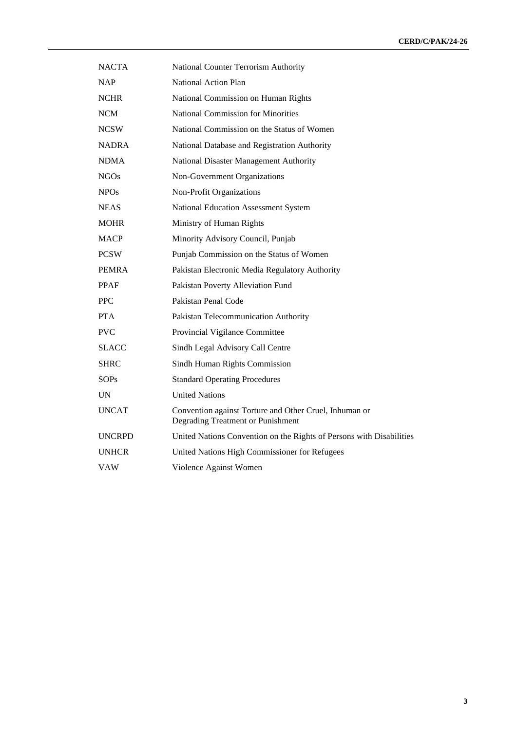| <b>NACTA</b>  | National Counter Terrorism Authority                                                        |
|---------------|---------------------------------------------------------------------------------------------|
| <b>NAP</b>    | National Action Plan                                                                        |
| <b>NCHR</b>   | National Commission on Human Rights                                                         |
| <b>NCM</b>    | <b>National Commission for Minorities</b>                                                   |
| <b>NCSW</b>   | National Commission on the Status of Women                                                  |
| NADRA         | National Database and Registration Authority                                                |
| <b>NDMA</b>   | National Disaster Management Authority                                                      |
| NGOs          | Non-Government Organizations                                                                |
| <b>NPOs</b>   | Non-Profit Organizations                                                                    |
| <b>NEAS</b>   | National Education Assessment System                                                        |
| <b>MOHR</b>   | Ministry of Human Rights                                                                    |
| <b>MACP</b>   | Minority Advisory Council, Punjab                                                           |
| <b>PCSW</b>   | Punjab Commission on the Status of Women                                                    |
| <b>PEMRA</b>  | Pakistan Electronic Media Regulatory Authority                                              |
| <b>PPAF</b>   | Pakistan Poverty Alleviation Fund                                                           |
| <b>PPC</b>    | Pakistan Penal Code                                                                         |
| <b>PTA</b>    | Pakistan Telecommunication Authority                                                        |
| <b>PVC</b>    | Provincial Vigilance Committee                                                              |
| <b>SLACC</b>  | Sindh Legal Advisory Call Centre                                                            |
| <b>SHRC</b>   | Sindh Human Rights Commission                                                               |
| SOPs          | <b>Standard Operating Procedures</b>                                                        |
| <b>UN</b>     | <b>United Nations</b>                                                                       |
| <b>UNCAT</b>  | Convention against Torture and Other Cruel, Inhuman or<br>Degrading Treatment or Punishment |
| <b>UNCRPD</b> | United Nations Convention on the Rights of Persons with Disabilities                        |
| <b>UNHCR</b>  | United Nations High Commissioner for Refugees                                               |
| VAW           | Violence Against Women                                                                      |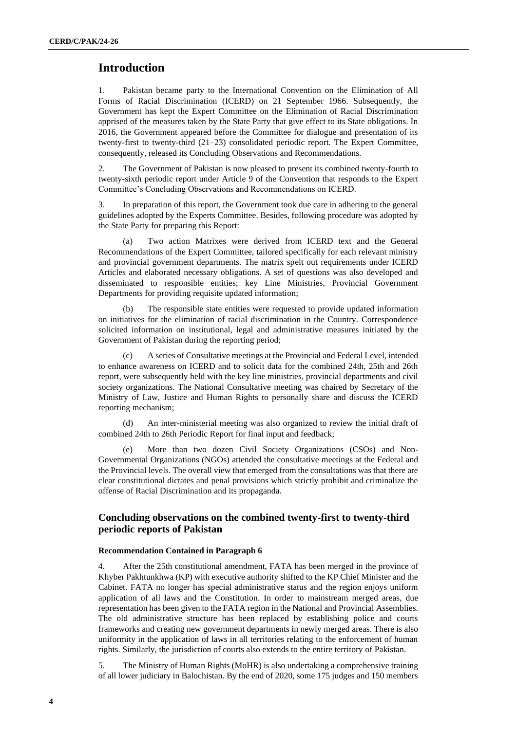# **Introduction**

1. Pakistan became party to the International Convention on the Elimination of All Forms of Racial Discrimination (ICERD) on 21 September 1966. Subsequently, the Government has kept the Expert Committee on the Elimination of Racial Discrimination apprised of the measures taken by the State Party that give effect to its State obligations. In 2016, the Government appeared before the Committee for dialogue and presentation of its twenty-first to twenty-third (21–23) consolidated periodic report. The Expert Committee, consequently, released its Concluding Observations and Recommendations.

2. The Government of Pakistan is now pleased to present its combined twenty-fourth to twenty-sixth periodic report under Article 9 of the Convention that responds to the Expert Committee's Concluding Observations and Recommendations on ICERD.

3. In preparation of this report, the Government took due care in adhering to the general guidelines adopted by the Experts Committee. Besides, following procedure was adopted by the State Party for preparing this Report:

(a) Two action Matrixes were derived from ICERD text and the General Recommendations of the Expert Committee, tailored specifically for each relevant ministry and provincial government departments. The matrix spelt out requirements under ICERD Articles and elaborated necessary obligations. A set of questions was also developed and disseminated to responsible entities; key Line Ministries, Provincial Government Departments for providing requisite updated information;

(b) The responsible state entities were requested to provide updated information on initiatives for the elimination of racial discrimination in the Country. Correspondence solicited information on institutional, legal and administrative measures initiated by the Government of Pakistan during the reporting period;

(c) A series of Consultative meetings at the Provincial and Federal Level, intended to enhance awareness on ICERD and to solicit data for the combined 24th, 25th and 26th report, were subsequently held with the key line ministries, provincial departments and civil society organizations. The National Consultative meeting was chaired by Secretary of the Ministry of Law, Justice and Human Rights to personally share and discuss the ICERD reporting mechanism;

(d) An inter-ministerial meeting was also organized to review the initial draft of combined 24th to 26th Periodic Report for final input and feedback;

More than two dozen Civil Society Organizations (CSOs) and Non-Governmental Organizations (NGOs) attended the consultative meetings at the Federal and the Provincial levels. The overall view that emerged from the consultations was that there are clear constitutional dictates and penal provisions which strictly prohibit and criminalize the offense of Racial Discrimination and its propaganda.

# **Concluding observations on the combined twenty-first to twenty-third periodic reports of Pakistan**

# **Recommendation Contained in Paragraph 6**

4. After the 25th constitutional amendment, FATA has been merged in the province of Khyber Pakhtunkhwa (KP) with executive authority shifted to the KP Chief Minister and the Cabinet. FATA no longer has special administrative status and the region enjoys uniform application of all laws and the Constitution. In order to mainstream merged areas, due representation has been given to the FATA region in the National and Provincial Assemblies. The old administrative structure has been replaced by establishing police and courts frameworks and creating new government departments in newly merged areas. There is also uniformity in the application of laws in all territories relating to the enforcement of human rights. Similarly, the jurisdiction of courts also extends to the entire territory of Pakistan.

5. The Ministry of Human Rights (MoHR) is also undertaking a comprehensive training of all lower judiciary in Balochistan. By the end of 2020, some 175 judges and 150 members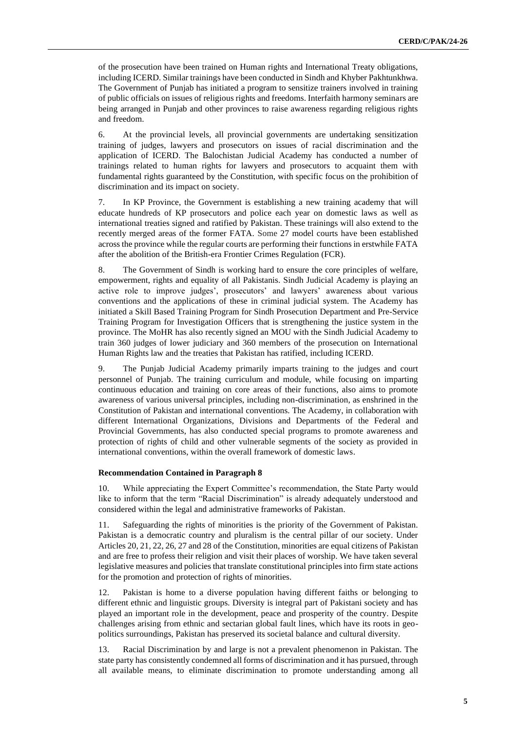of the prosecution have been trained on Human rights and International Treaty obligations, including ICERD. Similar trainings have been conducted in Sindh and Khyber Pakhtunkhwa. The Government of Punjab has initiated a program to sensitize trainers involved in training of public officials on issues of religious rights and freedoms. Interfaith harmony seminars are being arranged in Punjab and other provinces to raise awareness regarding religious rights and freedom.

6. At the provincial levels, all provincial governments are undertaking sensitization training of judges, lawyers and prosecutors on issues of racial discrimination and the application of ICERD. The Balochistan Judicial Academy has conducted a number of trainings related to human rights for lawyers and prosecutors to acquaint them with fundamental rights guaranteed by the Constitution, with specific focus on the prohibition of discrimination and its impact on society.

7. In KP Province, the Government is establishing a new training academy that will educate hundreds of KP prosecutors and police each year on domestic laws as well as international treaties signed and ratified by Pakistan. These trainings will also extend to the recently merged areas of the former FATA. Some 27 model courts have been established across the province while the regular courts are performing their functions in erstwhile FATA after the abolition of the British-era Frontier Crimes Regulation (FCR).

8. The Government of Sindh is working hard to ensure the core principles of welfare, empowerment, rights and equality of all Pakistanis. Sindh Judicial Academy is playing an active role to improve judges', prosecutors' and lawyers' awareness about various conventions and the applications of these in criminal judicial system. The Academy has initiated a Skill Based Training Program for Sindh Prosecution Department and Pre-Service Training Program for Investigation Officers that is strengthening the justice system in the province. The MoHR has also recently signed an MOU with the Sindh Judicial Academy to train 360 judges of lower judiciary and 360 members of the prosecution on International Human Rights law and the treaties that Pakistan has ratified, including ICERD.

9. The Punjab Judicial Academy primarily imparts training to the judges and court personnel of Punjab. The training curriculum and module, while focusing on imparting continuous education and training on core areas of their functions, also aims to promote awareness of various universal principles, including non-discrimination, as enshrined in the Constitution of Pakistan and international conventions. The Academy, in collaboration with different International Organizations, Divisions and Departments of the Federal and Provincial Governments, has also conducted special programs to promote awareness and protection of rights of child and other vulnerable segments of the society as provided in international conventions, within the overall framework of domestic laws.

#### **Recommendation Contained in Paragraph 8**

10. While appreciating the Expert Committee's recommendation, the State Party would like to inform that the term "Racial Discrimination" is already adequately understood and considered within the legal and administrative frameworks of Pakistan.

11. Safeguarding the rights of minorities is the priority of the Government of Pakistan. Pakistan is a democratic country and pluralism is the central pillar of our society. Under Articles 20, 21, 22, 26, 27 and 28 of the Constitution, minorities are equal citizens of Pakistan and are free to profess their religion and visit their places of worship. We have taken several legislative measures and policies that translate constitutional principles into firm state actions for the promotion and protection of rights of minorities.

12. Pakistan is home to a diverse population having different faiths or belonging to different ethnic and linguistic groups. Diversity is integral part of Pakistani society and has played an important role in the development, peace and prosperity of the country. Despite challenges arising from ethnic and sectarian global fault lines, which have its roots in geopolitics surroundings, Pakistan has preserved its societal balance and cultural diversity.

13. Racial Discrimination by and large is not a prevalent phenomenon in Pakistan. The state party has consistently condemned all forms of discrimination and it has pursued, through all available means, to eliminate discrimination to promote understanding among all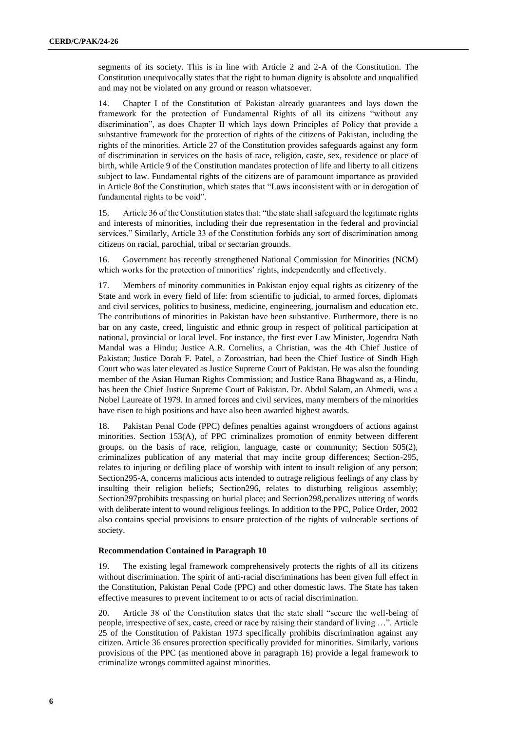segments of its society. This is in line with Article 2 and 2-A of the Constitution. The Constitution unequivocally states that the right to human dignity is absolute and unqualified and may not be violated on any ground or reason whatsoever.

14. Chapter I of the Constitution of Pakistan already guarantees and lays down the framework for the protection of Fundamental Rights of all its citizens "without any discrimination", as does Chapter II which lays down Principles of Policy that provide a substantive framework for the protection of rights of the citizens of Pakistan, including the rights of the minorities. Article 27 of the Constitution provides safeguards against any form of discrimination in services on the basis of race, religion, caste, sex, residence or place of birth, while Article 9 of the Constitution mandates protection of life and liberty to all citizens subject to law. Fundamental rights of the citizens are of paramount importance as provided in Article 8of the Constitution, which states that "Laws inconsistent with or in derogation of fundamental rights to be void".

15. Article 36 of the Constitution states that: "the state shall safeguard the legitimate rights and interests of minorities, including their due representation in the federal and provincial services." Similarly, Article 33 of the Constitution forbids any sort of discrimination among citizens on racial, parochial, tribal or sectarian grounds.

16. Government has recently strengthened National Commission for Minorities (NCM) which works for the protection of minorities' rights, independently and effectively.

17. Members of minority communities in Pakistan enjoy equal rights as citizenry of the State and work in every field of life: from scientific to judicial, to armed forces, diplomats and civil services, politics to business, medicine, engineering, journalism and education etc. The contributions of minorities in Pakistan have been substantive. Furthermore, there is no bar on any caste, creed, linguistic and ethnic group in respect of political participation at national, provincial or local level. For instance, the first ever Law Minister, Jogendra Nath Mandal was a Hindu; Justice A.R. Cornelius, a Christian, was the 4th Chief Justice of Pakistan; Justice Dorab F. Patel, a Zoroastrian, had been the Chief Justice of Sindh High Court who was later elevated as Justice Supreme Court of Pakistan. He was also the founding member of the Asian Human Rights Commission; and Justice Rana Bhagwand as, a Hindu, has been the Chief Justice Supreme Court of Pakistan. Dr. Abdul Salam, an Ahmedi, was a Nobel Laureate of 1979. In armed forces and civil services, many members of the minorities have risen to high positions and have also been awarded highest awards.

18. Pakistan Penal Code (PPC) defines penalties against wrongdoers of actions against minorities. Section 153(A), of PPC criminalizes promotion of enmity between different groups, on the basis of race, religion, language, caste or community; Section 505(2), criminalizes publication of any material that may incite group differences; Section-295, relates to injuring or defiling place of worship with intent to insult religion of any person; Section295-A, concerns malicious acts intended to outrage religious feelings of any class by insulting their religion beliefs; Section296, relates to disturbing religious assembly; Section297prohibits trespassing on burial place; and Section298,penalizes uttering of words with deliberate intent to wound religious feelings. In addition to the PPC, Police Order, 2002 also contains special provisions to ensure protection of the rights of vulnerable sections of society.

# **Recommendation Contained in Paragraph 10**

19. The existing legal framework comprehensively protects the rights of all its citizens without discrimination. The spirit of anti-racial discriminations has been given full effect in the Constitution, Pakistan Penal Code (PPC) and other domestic laws. The State has taken effective measures to prevent incitement to or acts of racial discrimination.

20. Article 38 of the Constitution states that the state shall "secure the well-being of people, irrespective of sex, caste, creed or race by raising their standard of living …". Article 25 of the Constitution of Pakistan 1973 specifically prohibits discrimination against any citizen. Article 36 ensures protection specifically provided for minorities. Similarly, various provisions of the PPC (as mentioned above in paragraph 16) provide a legal framework to criminalize wrongs committed against minorities.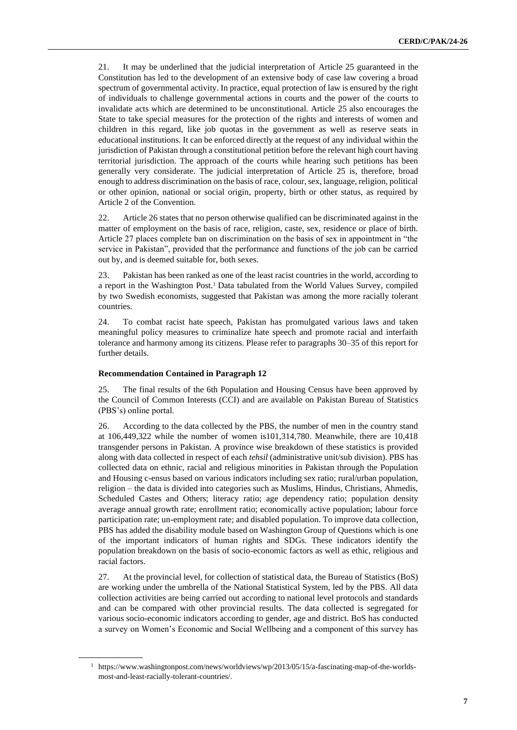21. It may be underlined that the judicial interpretation of Article 25 guaranteed in the Constitution has led to the development of an extensive body of case law covering a broad spectrum of governmental activity. In practice, equal protection of law is ensured by the right of individuals to challenge governmental actions in courts and the power of the courts to invalidate acts which are determined to be unconstitutional. Article 25 also encourages the State to take special measures for the protection of the rights and interests of women and children in this regard, like job quotas in the government as well as reserve seats in educational institutions. It can be enforced directly at the request of any individual within the jurisdiction of Pakistan through a constitutional petition before the relevant high court having territorial jurisdiction. The approach of the courts while hearing such petitions has been generally very considerate. The judicial interpretation of Article 25 is, therefore, broad enough to address discrimination on the basis of race, colour, sex, language, religion, political or other opinion, national or social origin, property, birth or other status, as required by Article 2 of the Convention.

22. Article 26 states that no person otherwise qualified can be discriminated against in the matter of employment on the basis of race, religion, caste, sex, residence or place of birth. Article 27 places complete ban on discrimination on the basis of sex in appointment in "the service in Pakistan", provided that the performance and functions of the job can be carried out by, and is deemed suitable for, both sexes.

23. Pakistan has been ranked as one of the least racist countries in the world, according to a report in the Washington Post.<sup>1</sup> Data tabulated from the World Values Survey, compiled by two Swedish economists, suggested that Pakistan was among the more racially tolerant countries.

24. To combat racist hate speech, Pakistan has promulgated various laws and taken meaningful policy measures to criminalize hate speech and promote racial and interfaith tolerance and harmony among its citizens. Please refer to paragraphs 30–35 of this report for further details.

#### **Recommendation Contained in Paragraph 12**

25. The final results of the 6th Population and Housing Census have been approved by the Council of Common Interests (CCI) and are available on Pakistan Bureau of Statistics (PBS's) online portal.

26. According to the data collected by the PBS, the number of men in the country stand at 106,449,322 while the number of women is101,314,780. Meanwhile, there are 10,418 transgender persons in Pakistan. A province wise breakdown of these statistics is provided along with data collected in respect of each *tehsil* (administrative unit/sub division). PBS has collected data on ethnic, racial and religious minorities in Pakistan through the Population and Housing c-ensus based on various indicators including sex ratio; rural/urban population, religion – the data is divided into categories such as Muslims, Hindus, Christians, Ahmedis, Scheduled Castes and Others; literacy ratio; age dependency ratio; population density average annual growth rate; enrollment ratio; economically active population; labour force participation rate; un-employment rate; and disabled population. To improve data collection, PBS has added the disability module based on Washington Group of Questions which is one of the important indicators of human rights and SDGs. These indicators identify the population breakdown on the basis of socio-economic factors as well as ethic, religious and racial factors.

27. At the provincial level, for collection of statistical data, the Bureau of Statistics (BoS) are working under the umbrella of the National Statistical System, led by the PBS. All data collection activities are being carried out according to national level protocols and standards and can be compared with other provincial results. The data collected is segregated for various socio-economic indicators according to gender, age and district. BoS has conducted a survey on Women's Economic and Social Wellbeing and a component of this survey has

<sup>1</sup> https://www.washingtonpost.com/news/worldviews/wp/2013/05/15/a-fascinating-map-of-the-worldsmost-and-least-racially-tolerant-countries/.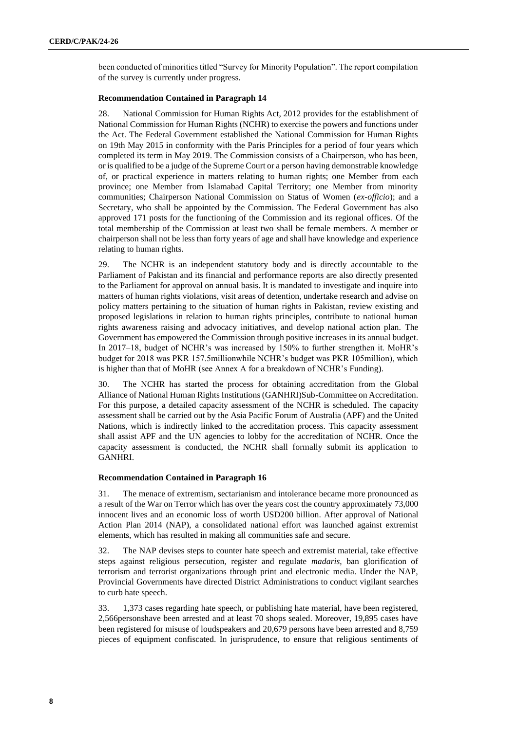been conducted of minorities titled "Survey for Minority Population". The report compilation of the survey is currently under progress.

# **Recommendation Contained in Paragraph 14**

28. National Commission for Human Rights Act, 2012 provides for the establishment of National Commission for Human Rights (NCHR) to exercise the powers and functions under the Act. The Federal Government established the National Commission for Human Rights on 19th May 2015 in conformity with the Paris Principles for a period of four years which completed its term in May 2019. The Commission consists of a Chairperson, who has been, or is qualified to be a judge of the Supreme Court or a person having demonstrable knowledge of, or practical experience in matters relating to human rights; one Member from each province; one Member from Islamabad Capital Territory; one Member from minority communities; Chairperson National Commission on Status of Women (*ex-officio*); and a Secretary, who shall be appointed by the Commission. The Federal Government has also approved 171 posts for the functioning of the Commission and its regional offices. Of the total membership of the Commission at least two shall be female members. A member or chairperson shall not be less than forty years of age and shall have knowledge and experience relating to human rights.

29. The NCHR is an independent statutory body and is directly accountable to the Parliament of Pakistan and its financial and performance reports are also directly presented to the Parliament for approval on annual basis. It is mandated to investigate and inquire into matters of human rights violations, visit areas of detention, undertake research and advise on policy matters pertaining to the situation of human rights in Pakistan, review existing and proposed legislations in relation to human rights principles, contribute to national human rights awareness raising and advocacy initiatives, and develop national action plan. The Government has empowered the Commission through positive increases in its annual budget. In 2017–18, budget of NCHR's was increased by 150% to further strengthen it. MoHR's budget for 2018 was PKR 157.5millionwhile NCHR's budget was PKR 105million), which is higher than that of MoHR (see Annex A for a breakdown of NCHR's Funding).

30. The NCHR has started the process for obtaining accreditation from the Global Alliance of National Human Rights Institutions (GANHRI)Sub-Committee on Accreditation. For this purpose, a detailed capacity assessment of the NCHR is scheduled. The capacity assessment shall be carried out by the Asia Pacific Forum of Australia (APF) and the United Nations, which is indirectly linked to the accreditation process. This capacity assessment shall assist APF and the UN agencies to lobby for the accreditation of NCHR. Once the capacity assessment is conducted, the NCHR shall formally submit its application to GANHRI.

# **Recommendation Contained in Paragraph 16**

31. The menace of extremism, sectarianism and intolerance became more pronounced as a result of the War on Terror which has over the years cost the country approximately 73,000 innocent lives and an economic loss of worth USD200 billion. After approval of National Action Plan 2014 (NAP), a consolidated national effort was launched against extremist elements, which has resulted in making all communities safe and secure.

32. The NAP devises steps to counter hate speech and extremist material, take effective steps against religious persecution, register and regulate *madaris*, ban glorification of terrorism and terrorist organizations through print and electronic media. Under the NAP, Provincial Governments have directed District Administrations to conduct vigilant searches to curb hate speech.

33. 1,373 cases regarding hate speech, or publishing hate material, have been registered, 2,566personshave been arrested and at least 70 shops sealed. Moreover, 19,895 cases have been registered for misuse of loudspeakers and 20,679 persons have been arrested and 8,759 pieces of equipment confiscated. In jurisprudence, to ensure that religious sentiments of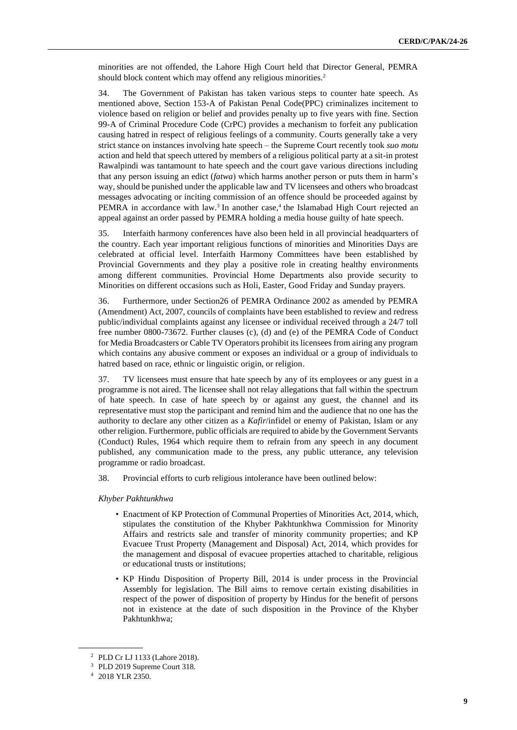minorities are not offended, the Lahore High Court held that Director General, PEMRA should block content which may offend any religious minorities.<sup>2</sup>

34. The Government of Pakistan has taken various steps to counter hate speech. As mentioned above, Section 153-A of Pakistan Penal Code(PPC) criminalizes incitement to violence based on religion or belief and provides penalty up to five years with fine. Section 99-A of Criminal Procedure Code (CrPC) provides a mechanism to forfeit any publication causing hatred in respect of religious feelings of a community. Courts generally take a very strict stance on instances involving hate speech – the Supreme Court recently took *suo motu* action and held that speech uttered by members of a religious political party at a sit-in protest Rawalpindi was tantamount to hate speech and the court gave various directions including that any person issuing an edict (*fatwa*) which harms another person or puts them in harm's way, should be punished under the applicable law and TV licensees and others who broadcast messages advocating or inciting commission of an offence should be proceeded against by PEMRA in accordance with law.<sup>3</sup> In another case,<sup>4</sup> the Islamabad High Court rejected an appeal against an order passed by PEMRA holding a media house guilty of hate speech.

35. Interfaith harmony conferences have also been held in all provincial headquarters of the country. Each year important religious functions of minorities and Minorities Days are celebrated at official level. Interfaith Harmony Committees have been established by Provincial Governments and they play a positive role in creating healthy environments among different communities. Provincial Home Departments also provide security to Minorities on different occasions such as Holi, Easter, Good Friday and Sunday prayers.

36. Furthermore, under Section26 of PEMRA Ordinance 2002 as amended by PEMRA (Amendment) Act, 2007, councils of complaints have been established to review and redress public/individual complaints against any licensee or individual received through a 24/7 toll free number 0800-73672. Further clauses (c), (d) and (e) of the PEMRA Code of Conduct for Media Broadcasters or Cable TV Operators prohibit its licensees from airing any program which contains any abusive comment or exposes an individual or a group of individuals to hatred based on race, ethnic or linguistic origin, or religion.

37. TV licensees must ensure that hate speech by any of its employees or any guest in a programme is not aired. The licensee shall not relay allegations that fall within the spectrum of hate speech. In case of hate speech by or against any guest, the channel and its representative must stop the participant and remind him and the audience that no one has the authority to declare any other citizen as a *Kafir*/infidel or enemy of Pakistan, Islam or any other religion. Furthermore, public officials are required to abide by the Government Servants (Conduct) Rules, 1964 which require them to refrain from any speech in any document published, any communication made to the press, any public utterance, any television programme or radio broadcast.

38. Provincial efforts to curb religious intolerance have been outlined below:

#### *Khyber Pakhtunkhwa*

- Enactment of KP Protection of Communal Properties of Minorities Act, 2014, which, stipulates the constitution of the Khyber Pakhtunkhwa Commission for Minority Affairs and restricts sale and transfer of minority community properties; and KP Evacuee Trust Property (Management and Disposal) Act, 2014, which provides for the management and disposal of evacuee properties attached to charitable, religious or educational trusts or institutions;
- KP Hindu Disposition of Property Bill, 2014 is under process in the Provincial Assembly for legislation. The Bill aims to remove certain existing disabilities in respect of the power of disposition of property by Hindus for the benefit of persons not in existence at the date of such disposition in the Province of the Khyber Pakhtunkhwa;

<sup>2</sup> PLD Cr LJ 1133 (Lahore 2018).

<sup>3</sup> PLD 2019 Supreme Court 318.

<sup>4</sup> 2018 YLR 2350.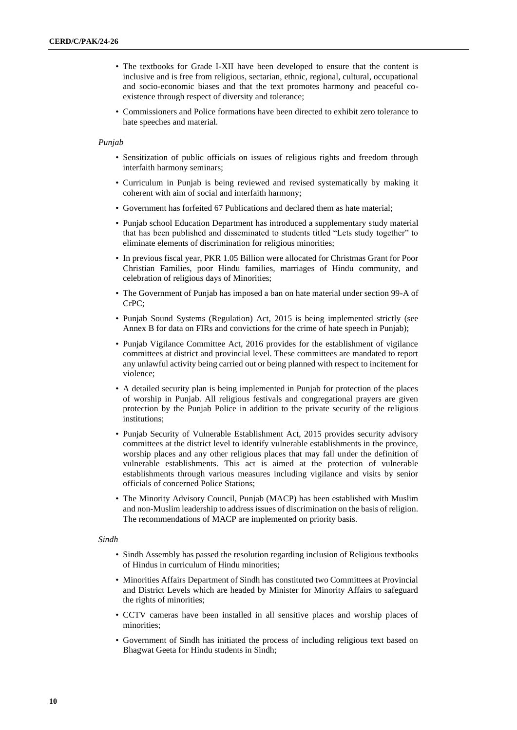- The textbooks for Grade I-XII have been developed to ensure that the content is inclusive and is free from religious, sectarian, ethnic, regional, cultural, occupational and socio-economic biases and that the text promotes harmony and peaceful coexistence through respect of diversity and tolerance;
- Commissioners and Police formations have been directed to exhibit zero tolerance to hate speeches and material.

#### *Punjab*

- Sensitization of public officials on issues of religious rights and freedom through interfaith harmony seminars;
- Curriculum in Punjab is being reviewed and revised systematically by making it coherent with aim of social and interfaith harmony;
- Government has forfeited 67 Publications and declared them as hate material;
- Punjab school Education Department has introduced a supplementary study material that has been published and disseminated to students titled "Lets study together" to eliminate elements of discrimination for religious minorities;
- In previous fiscal year, PKR 1.05 Billion were allocated for Christmas Grant for Poor Christian Families, poor Hindu families, marriages of Hindu community, and celebration of religious days of Minorities;
- The Government of Punjab has imposed a ban on hate material under section 99-A of CrPC;
- Punjab Sound Systems (Regulation) Act, 2015 is being implemented strictly (see Annex B for data on FIRs and convictions for the crime of hate speech in Punjab);
- Punjab Vigilance Committee Act, 2016 provides for the establishment of vigilance committees at district and provincial level. These committees are mandated to report any unlawful activity being carried out or being planned with respect to incitement for violence;
- A detailed security plan is being implemented in Punjab for protection of the places of worship in Punjab. All religious festivals and congregational prayers are given protection by the Punjab Police in addition to the private security of the religious institutions;
- Punjab Security of Vulnerable Establishment Act, 2015 provides security advisory committees at the district level to identify vulnerable establishments in the province, worship places and any other religious places that may fall under the definition of vulnerable establishments. This act is aimed at the protection of vulnerable establishments through various measures including vigilance and visits by senior officials of concerned Police Stations;
- The Minority Advisory Council, Punjab (MACP) has been established with Muslim and non-Muslim leadership to address issues of discrimination on the basis of religion. The recommendations of MACP are implemented on priority basis.

#### *Sindh*

- Sindh Assembly has passed the resolution regarding inclusion of Religious textbooks of Hindus in curriculum of Hindu minorities;
- Minorities Affairs Department of Sindh has constituted two Committees at Provincial and District Levels which are headed by Minister for Minority Affairs to safeguard the rights of minorities;
- CCTV cameras have been installed in all sensitive places and worship places of minorities;
- Government of Sindh has initiated the process of including religious text based on Bhagwat Geeta for Hindu students in Sindh;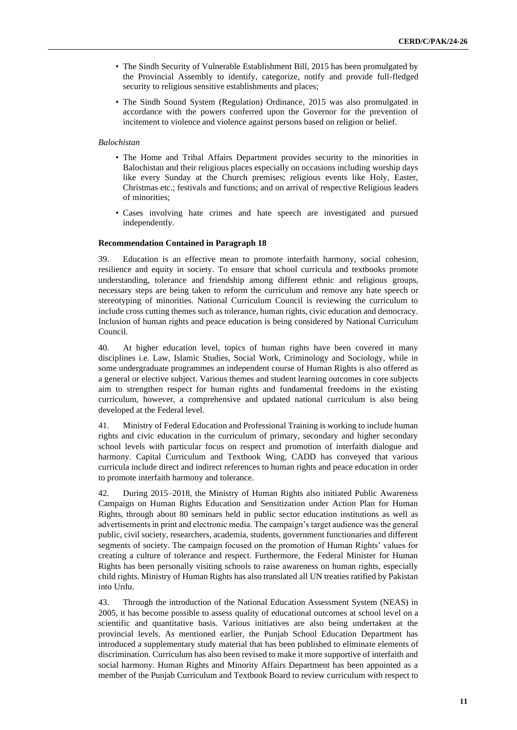- The Sindh Security of Vulnerable Establishment Bill, 2015 has been promulgated by the Provincial Assembly to identify, categorize, notify and provide full-fledged security to religious sensitive establishments and places;
- The Sindh Sound System (Regulation) Ordinance, 2015 was also promulgated in accordance with the powers conferred upon the Governor for the prevention of incitement to violence and violence against persons based on religion or belief.

# *Balochistan*

- The Home and Tribal Affairs Department provides security to the minorities in Balochistan and their religious places especially on occasions including worship days like every Sunday at the Church premises; religious events like Holy, Easter, Christmas etc.; festivals and functions; and on arrival of respective Religious leaders of minorities;
- Cases involving hate crimes and hate speech are investigated and pursued independently.

# **Recommendation Contained in Paragraph 18**

39. Education is an effective mean to promote interfaith harmony, social cohesion, resilience and equity in society. To ensure that school curricula and textbooks promote understanding, tolerance and friendship among different ethnic and religious groups, necessary steps are being taken to reform the curriculum and remove any hate speech or stereotyping of minorities. National Curriculum Council is reviewing the curriculum to include cross cutting themes such as tolerance, human rights, civic education and democracy. Inclusion of human rights and peace education is being considered by National Curriculum Council.

40. At higher education level, topics of human rights have been covered in many disciplines i.e. Law, Islamic Studies, Social Work, Criminology and Sociology, while in some undergraduate programmes an independent course of Human Rights is also offered as a general or elective subject. Various themes and student learning outcomes in core subjects aim to strengthen respect for human rights and fundamental freedoms in the existing curriculum, however, a comprehensive and updated national curriculum is also being developed at the Federal level.

41. Ministry of Federal Education and Professional Training is working to include human rights and civic education in the curriculum of primary, secondary and higher secondary school levels with particular focus on respect and promotion of interfaith dialogue and harmony. Capital Curriculum and Textbook Wing, CADD has conveyed that various curricula include direct and indirect references to human rights and peace education in order to promote interfaith harmony and tolerance.

42. During 2015–2018, the Ministry of Human Rights also initiated Public Awareness Campaign on Human Rights Education and Sensitization under Action Plan for Human Rights, through about 80 seminars held in public sector education institutions as well as advertisements in print and electronic media. The campaign's target audience was the general public, civil society, researchers, academia, students, government functionaries and different segments of society. The campaign focused on the promotion of Human Rights' values for creating a culture of tolerance and respect. Furthermore, the Federal Minister for Human Rights has been personally visiting schools to raise awareness on human rights, especially child rights. Ministry of Human Rights has also translated all UN treaties ratified by Pakistan into Urdu.

43. Through the introduction of the National Education Assessment System (NEAS) in 2005, it has become possible to assess quality of educational outcomes at school level on a scientific and quantitative basis. Various initiatives are also being undertaken at the provincial levels. As mentioned earlier, the Punjab School Education Department has introduced a supplementary study material that has been published to eliminate elements of discrimination. Curriculum has also been revised to make it more supportive of interfaith and social harmony. Human Rights and Minority Affairs Department has been appointed as a member of the Punjab Curriculum and Textbook Board to review curriculum with respect to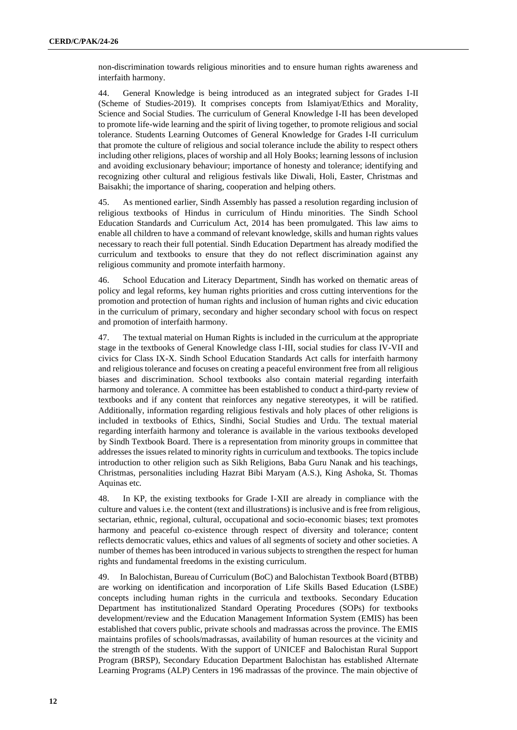non-discrimination towards religious minorities and to ensure human rights awareness and interfaith harmony.

44. General Knowledge is being introduced as an integrated subject for Grades I-II (Scheme of Studies-2019). It comprises concepts from Islamiyat/Ethics and Morality, Science and Social Studies. The curriculum of General Knowledge I-II has been developed to promote life-wide learning and the spirit of living together, to promote religious and social tolerance. Students Learning Outcomes of General Knowledge for Grades I-II curriculum that promote the culture of religious and social tolerance include the ability to respect others including other religions, places of worship and all Holy Books; learning lessons of inclusion and avoiding exclusionary behaviour; importance of honesty and tolerance; identifying and recognizing other cultural and religious festivals like Diwali, Holi, Easter, Christmas and Baisakhi; the importance of sharing, cooperation and helping others.

45. As mentioned earlier, Sindh Assembly has passed a resolution regarding inclusion of religious textbooks of Hindus in curriculum of Hindu minorities. The Sindh School Education Standards and Curriculum Act, 2014 has been promulgated. This law aims to enable all children to have a command of relevant knowledge, skills and human rights values necessary to reach their full potential. Sindh Education Department has already modified the curriculum and textbooks to ensure that they do not reflect discrimination against any religious community and promote interfaith harmony.

46. School Education and Literacy Department, Sindh has worked on thematic areas of policy and legal reforms, key human rights priorities and cross cutting interventions for the promotion and protection of human rights and inclusion of human rights and civic education in the curriculum of primary, secondary and higher secondary school with focus on respect and promotion of interfaith harmony.

47. The textual material on Human Rights is included in the curriculum at the appropriate stage in the textbooks of General Knowledge class I-III, social studies for class IV-VII and civics for Class IX-X. Sindh School Education Standards Act calls for interfaith harmony and religious tolerance and focuses on creating a peaceful environment free from all religious biases and discrimination. School textbooks also contain material regarding interfaith harmony and tolerance. A committee has been established to conduct a third-party review of textbooks and if any content that reinforces any negative stereotypes, it will be ratified. Additionally, information regarding religious festivals and holy places of other religions is included in textbooks of Ethics, Sindhi, Social Studies and Urdu. The textual material regarding interfaith harmony and tolerance is available in the various textbooks developed by Sindh Textbook Board. There is a representation from minority groups in committee that addresses the issues related to minority rights in curriculum and textbooks. The topics include introduction to other religion such as Sikh Religions, Baba Guru Nanak and his teachings, Christmas, personalities including Hazrat Bibi Maryam (A.S.), King Ashoka, St. Thomas Aquinas etc*.*

48. In KP, the existing textbooks for Grade I-XII are already in compliance with the culture and values i.e. the content (text and illustrations) is inclusive and is free from religious, sectarian, ethnic, regional, cultural, occupational and socio-economic biases; text promotes harmony and peaceful co-existence through respect of diversity and tolerance; content reflects democratic values, ethics and values of all segments of society and other societies. A number of themes has been introduced in various subjects to strengthen the respect for human rights and fundamental freedoms in the existing curriculum.

49. In Balochistan, Bureau of Curriculum (BoC) and Balochistan Textbook Board (BTBB) are working on identification and incorporation of Life Skills Based Education (LSBE) concepts including human rights in the curricula and textbooks. Secondary Education Department has institutionalized Standard Operating Procedures (SOPs) for textbooks development/review and the Education Management Information System (EMIS) has been established that covers public, private schools and madrassas across the province. The EMIS maintains profiles of schools/madrassas, availability of human resources at the vicinity and the strength of the students. With the support of UNICEF and Balochistan Rural Support Program (BRSP), Secondary Education Department Balochistan has established Alternate Learning Programs (ALP) Centers in 196 madrassas of the province. The main objective of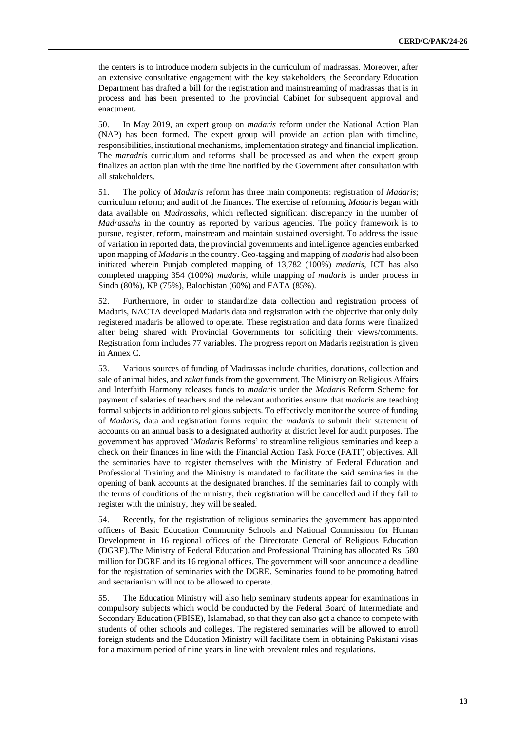the centers is to introduce modern subjects in the curriculum of madrassas. Moreover, after an extensive consultative engagement with the key stakeholders, the Secondary Education Department has drafted a bill for the registration and mainstreaming of madrassas that is in process and has been presented to the provincial Cabinet for subsequent approval and enactment.

50. In May 2019, an expert group on *madaris* reform under the National Action Plan (NAP) has been formed. The expert group will provide an action plan with timeline, responsibilities, institutional mechanisms, implementation strategy and financial implication. The *maradris* curriculum and reforms shall be processed as and when the expert group finalizes an action plan with the time line notified by the Government after consultation with all stakeholders.

51. The policy of *Madaris* reform has three main components: registration of *Madaris*; curriculum reform; and audit of the finances. The exercise of reforming *Madaris* began with data available on *Madrassahs*, which reflected significant discrepancy in the number of *Madrassahs* in the country as reported by various agencies. The policy framework is to pursue, register, reform, mainstream and maintain sustained oversight. To address the issue of variation in reported data, the provincial governments and intelligence agencies embarked upon mapping of *Madaris* in the country. Geo-tagging and mapping of *madaris* had also been initiated wherein Punjab completed mapping of 13,782 (100%) *madaris*, ICT has also completed mapping 354 (100%) *madaris*, while mapping of *madaris* is under process in Sindh (80%), KP (75%), Balochistan (60%) and FATA (85%).

52. Furthermore, in order to standardize data collection and registration process of Madaris, NACTA developed Madaris data and registration with the objective that only duly registered madaris be allowed to operate. These registration and data forms were finalized after being shared with Provincial Governments for soliciting their views/comments. Registration form includes 77 variables. The progress report on Madaris registration is given in Annex C.

53. Various sources of funding of Madrassas include charities, donations, collection and sale of animal hides, and *zakat* funds from the government. The Ministry on Religious Affairs and Interfaith Harmony releases funds to *madaris* under the *Madaris* Reform Scheme for payment of salaries of teachers and the relevant authorities ensure that *madaris* are teaching formal subjects in addition to religious subjects. To effectively monitor the source of funding of *Madaris*, data and registration forms require the *madaris* to submit their statement of accounts on an annual basis to a designated authority at district level for audit purposes. The government has approved '*Madaris* Reforms' to streamline religious seminaries and keep a check on their finances in line with the Financial Action Task Force (FATF) objectives. All the seminaries have to register themselves with the Ministry of Federal Education and Professional Training and the Ministry is mandated to facilitate the said seminaries in the opening of bank accounts at the designated branches. If the seminaries fail to comply with the terms of conditions of the ministry, their registration will be cancelled and if they fail to register with the ministry, they will be sealed.

54. Recently, for the registration of religious seminaries the government has appointed officers of Basic Education Community Schools and National Commission for Human Development in 16 regional offices of the Directorate General of Religious Education (DGRE).The Ministry of Federal Education and Professional Training has allocated Rs. 580 million for DGRE and its 16 regional offices. The government will soon announce a deadline for the registration of seminaries with the DGRE. Seminaries found to be promoting hatred and sectarianism will not to be allowed to operate.

55. The Education Ministry will also help seminary students appear for examinations in compulsory subjects which would be conducted by the Federal Board of Intermediate and Secondary Education (FBISE), Islamabad, so that they can also get a chance to compete with students of other schools and colleges. The registered seminaries will be allowed to enroll foreign students and the Education Ministry will facilitate them in obtaining Pakistani visas for a maximum period of nine years in line with prevalent rules and regulations.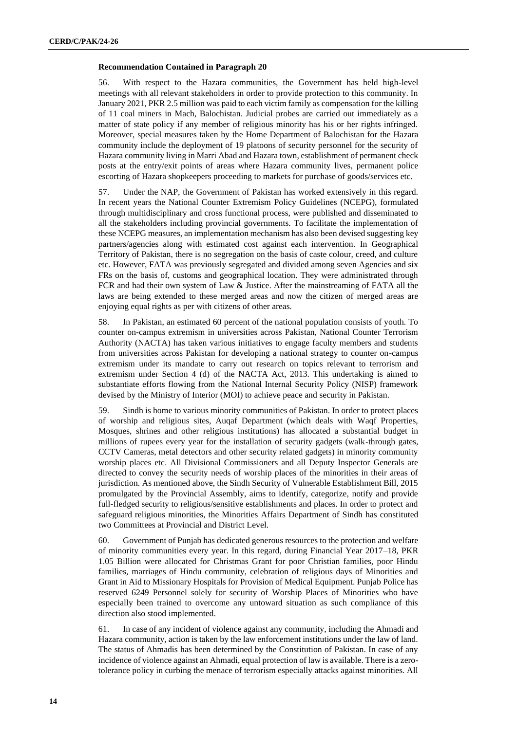#### **Recommendation Contained in Paragraph 20**

56. With respect to the Hazara communities, the Government has held high-level meetings with all relevant stakeholders in order to provide protection to this community. In January 2021, PKR 2.5 million was paid to each victim family as compensation for the killing of 11 coal miners in Mach, Balochistan. Judicial probes are carried out immediately as a matter of state policy if any member of religious minority has his or her rights infringed. Moreover, special measures taken by the Home Department of Balochistan for the Hazara community include the deployment of 19 platoons of security personnel for the security of Hazara community living in Marri Abad and Hazara town, establishment of permanent check posts at the entry/exit points of areas where Hazara community lives, permanent police escorting of Hazara shopkeepers proceeding to markets for purchase of goods/services etc.

57. Under the NAP, the Government of Pakistan has worked extensively in this regard. In recent years the National Counter Extremism Policy Guidelines (NCEPG), formulated through multidisciplinary and cross functional process, were published and disseminated to all the stakeholders including provincial governments. To facilitate the implementation of these NCEPG measures, an implementation mechanism has also been devised suggesting key partners/agencies along with estimated cost against each intervention. In Geographical Territory of Pakistan, there is no segregation on the basis of caste colour, creed, and culture etc. However, FATA was previously segregated and divided among seven Agencies and six FRs on the basis of, customs and geographical location. They were administrated through FCR and had their own system of Law & Justice. After the mainstreaming of FATA all the laws are being extended to these merged areas and now the citizen of merged areas are enjoying equal rights as per with citizens of other areas.

58. In Pakistan, an estimated 60 percent of the national population consists of youth. To counter on-campus extremism in universities across Pakistan, National Counter Terrorism Authority (NACTA) has taken various initiatives to engage faculty members and students from universities across Pakistan for developing a national strategy to counter on-campus extremism under its mandate to carry out research on topics relevant to terrorism and extremism under Section 4 (d) of the NACTA Act, 2013. This undertaking is aimed to substantiate efforts flowing from the National Internal Security Policy (NISP) framework devised by the Ministry of Interior (MOI) to achieve peace and security in Pakistan.

59. Sindh is home to various minority communities of Pakistan. In order to protect places of worship and religious sites, Auqaf Department (which deals with Waqf Properties, Mosques, shrines and other religious institutions) has allocated a substantial budget in millions of rupees every year for the installation of security gadgets (walk-through gates, CCTV Cameras, metal detectors and other security related gadgets) in minority community worship places etc. All Divisional Commissioners and all Deputy Inspector Generals are directed to convey the security needs of worship places of the minorities in their areas of jurisdiction. As mentioned above, the Sindh Security of Vulnerable Establishment Bill, 2015 promulgated by the Provincial Assembly, aims to identify, categorize, notify and provide full-fledged security to religious/sensitive establishments and places. In order to protect and safeguard religious minorities, the Minorities Affairs Department of Sindh has constituted two Committees at Provincial and District Level.

60. Government of Punjab has dedicated generous resources to the protection and welfare of minority communities every year. In this regard, during Financial Year 2017–18, PKR 1.05 Billion were allocated for Christmas Grant for poor Christian families, poor Hindu families, marriages of Hindu community, celebration of religious days of Minorities and Grant in Aid to Missionary Hospitals for Provision of Medical Equipment. Punjab Police has reserved 6249 Personnel solely for security of Worship Places of Minorities who have especially been trained to overcome any untoward situation as such compliance of this direction also stood implemented.

61. In case of any incident of violence against any community, including the Ahmadi and Hazara community, action is taken by the law enforcement institutions under the law of land. The status of Ahmadis has been determined by the Constitution of Pakistan. In case of any incidence of violence against an Ahmadi, equal protection of law is available. There is a zerotolerance policy in curbing the menace of terrorism especially attacks against minorities. All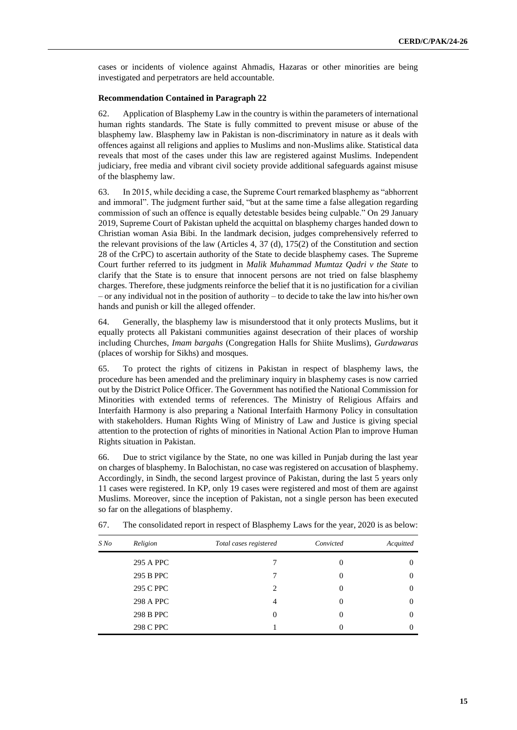cases or incidents of violence against Ahmadis, Hazaras or other minorities are being investigated and perpetrators are held accountable.

#### **Recommendation Contained in Paragraph 22**

62. Application of Blasphemy Law in the country is within the parameters of international human rights standards. The State is fully committed to prevent misuse or abuse of the blasphemy law. Blasphemy law in Pakistan is non-discriminatory in nature as it deals with offences against all religions and applies to Muslims and non-Muslims alike. Statistical data reveals that most of the cases under this law are registered against Muslims. Independent judiciary, free media and vibrant civil society provide additional safeguards against misuse of the blasphemy law.

63. In 2015, while deciding a case, the Supreme Court remarked blasphemy as "abhorrent and immoral". The judgment further said, "but at the same time a false allegation regarding commission of such an offence is equally detestable besides being culpable." On 29 January 2019, Supreme Court of Pakistan upheld the acquittal on blasphemy charges handed down to Christian woman Asia Bibi. In the landmark decision, judges comprehensively referred to the relevant provisions of the law (Articles 4, 37 (d), 175(2) of the Constitution and section 28 of the CrPC) to ascertain authority of the State to decide blasphemy cases. The Supreme Court further referred to its judgment in *Malik Muhammad Mumtaz Qadri v the State* to clarify that the State is to ensure that innocent persons are not tried on false blasphemy charges. Therefore, these judgments reinforce the belief that it is no justification for a civilian – or any individual not in the position of authority – to decide to take the law into his/her own hands and punish or kill the alleged offender.

64. Generally, the blasphemy law is misunderstood that it only protects Muslims, but it equally protects all Pakistani communities against desecration of their places of worship including Churches, *Imam bargahs* (Congregation Halls for Shiite Muslims), *Gurdawaras* (places of worship for Sikhs) and mosques.

65. To protect the rights of citizens in Pakistan in respect of blasphemy laws, the procedure has been amended and the preliminary inquiry in blasphemy cases is now carried out by the District Police Officer. The Government has notified the National Commission for Minorities with extended terms of references. The Ministry of Religious Affairs and Interfaith Harmony is also preparing a National Interfaith Harmony Policy in consultation with stakeholders. Human Rights Wing of Ministry of Law and Justice is giving special attention to the protection of rights of minorities in National Action Plan to improve Human Rights situation in Pakistan.

66. Due to strict vigilance by the State, no one was killed in Punjab during the last year on charges of blasphemy. In Balochistan, no case was registered on accusation of blasphemy. Accordingly, in Sindh, the second largest province of Pakistan, during the last 5 years only 11 cases were registered. In KP, only 19 cases were registered and most of them are against Muslims. Moreover, since the inception of Pakistan, not a single person has been executed so far on the allegations of blasphemy.

| $S$ No | Religion  | Total cases registered | Convicted | Acquitted |
|--------|-----------|------------------------|-----------|-----------|
|        | 295 A PPC |                        |           | $_{0}$    |
|        | 295 B PPC |                        |           | 0         |
|        | 295 C PPC | 2                      |           | $\theta$  |
|        | 298 A PPC | 4                      |           | $_{0}$    |
|        | 298 B PPC | 0                      | $\theta$  | 0         |
|        | 298 C PPC |                        |           |           |

67. The consolidated report in respect of Blasphemy Laws for the year, 2020 is as below: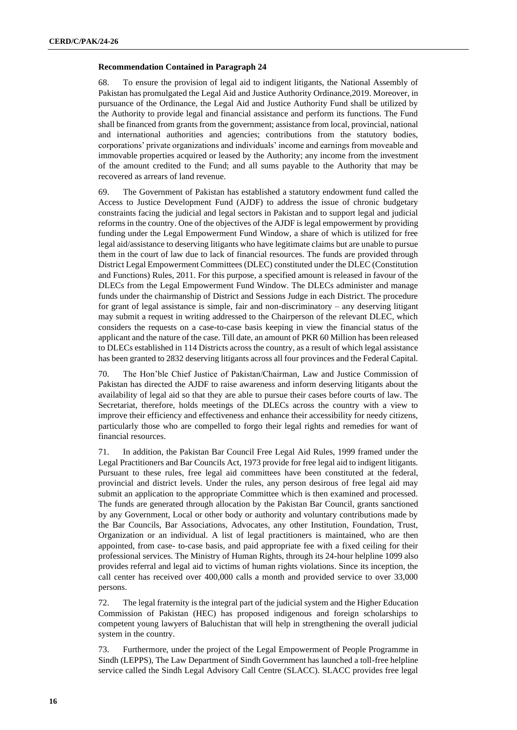#### **Recommendation Contained in Paragraph 24**

68. To ensure the provision of legal aid to indigent litigants, the National Assembly of Pakistan has promulgated the Legal Aid and Justice Authority Ordinance,2019. Moreover, in pursuance of the Ordinance, the Legal Aid and Justice Authority Fund shall be utilized by the Authority to provide legal and financial assistance and perform its functions. The Fund shall be financed from grants from the government; assistance from local, provincial, national and international authorities and agencies; contributions from the statutory bodies, corporations' private organizations and individuals' income and earnings from moveable and immovable properties acquired or leased by the Authority; any income from the investment of the amount credited to the Fund; and all sums payable to the Authority that may be recovered as arrears of land revenue.

69. The Government of Pakistan has established a statutory endowment fund called the Access to Justice Development Fund (AJDF) to address the issue of chronic budgetary constraints facing the judicial and legal sectors in Pakistan and to support legal and judicial reforms in the country. One of the objectives of the AJDF is legal empowerment by providing funding under the Legal Empowerment Fund Window, a share of which is utilized for free legal aid/assistance to deserving litigants who have legitimate claims but are unable to pursue them in the court of law due to lack of financial resources. The funds are provided through District Legal Empowerment Committees (DLEC) constituted under the DLEC (Constitution and Functions) Rules, 2011. For this purpose, a specified amount is released in favour of the DLECs from the Legal Empowerment Fund Window. The DLECs administer and manage funds under the chairmanship of District and Sessions Judge in each District. The procedure for grant of legal assistance is simple, fair and non-discriminatory – any deserving litigant may submit a request in writing addressed to the Chairperson of the relevant DLEC, which considers the requests on a case-to-case basis keeping in view the financial status of the applicant and the nature of the case. Till date, an amount of PKR 60 Million has been released to DLECs established in 114 Districts across the country, as a result of which legal assistance has been granted to 2832 deserving litigants across all four provinces and the Federal Capital.

70. The Hon'ble Chief Justice of Pakistan/Chairman, Law and Justice Commission of Pakistan has directed the AJDF to raise awareness and inform deserving litigants about the availability of legal aid so that they are able to pursue their cases before courts of law. The Secretariat, therefore, holds meetings of the DLECs across the country with a view to improve their efficiency and effectiveness and enhance their accessibility for needy citizens, particularly those who are compelled to forgo their legal rights and remedies for want of financial resources.

71. In addition, the Pakistan Bar Council Free Legal Aid Rules, 1999 framed under the Legal Practitioners and Bar Councils Act, 1973 provide for free legal aid to indigent litigants. Pursuant to these rules, free legal aid committees have been constituted at the federal, provincial and district levels. Under the rules, any person desirous of free legal aid may submit an application to the appropriate Committee which is then examined and processed. The funds are generated through allocation by the Pakistan Bar Council, grants sanctioned by any Government, Local or other body or authority and voluntary contributions made by the Bar Councils, Bar Associations, Advocates, any other Institution, Foundation, Trust, Organization or an individual. A list of legal practitioners is maintained, who are then appointed, from case- to-case basis, and paid appropriate fee with a fixed ceiling for their professional services. The Ministry of Human Rights, through its 24-hour helpline 1099 also provides referral and legal aid to victims of human rights violations. Since its inception, the call center has received over 400,000 calls a month and provided service to over 33,000 persons.

72. The legal fraternity is the integral part of the judicial system and the Higher Education Commission of Pakistan (HEC) has proposed indigenous and foreign scholarships to competent young lawyers of Baluchistan that will help in strengthening the overall judicial system in the country.

73. Furthermore, under the project of the Legal Empowerment of People Programme in Sindh (LEPPS), The Law Department of Sindh Government has launched a toll-free helpline service called the Sindh Legal Advisory Call Centre (SLACC). SLACC provides free legal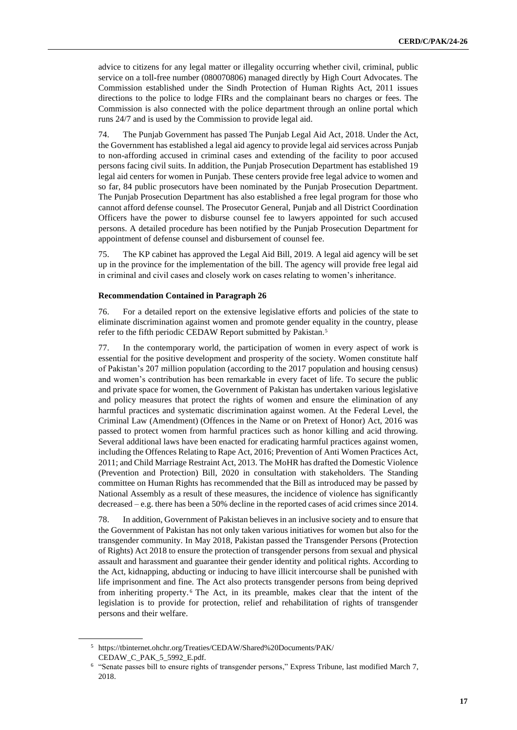advice to citizens for any legal matter or illegality occurring whether civil, criminal, public service on a toll-free number (080070806) managed directly by High Court Advocates. The Commission established under the Sindh Protection of Human Rights Act, 2011 issues directions to the police to lodge FIRs and the complainant bears no charges or fees. The Commission is also connected with the police department through an online portal which runs 24/7 and is used by the Commission to provide legal aid.

74. The Punjab Government has passed The Punjab Legal Aid Act, 2018. Under the Act, the Government has established a legal aid agency to provide legal aid services across Punjab to non-affording accused in criminal cases and extending of the facility to poor accused persons facing civil suits. In addition, the Punjab Prosecution Department has established 19 legal aid centers for women in Punjab. These centers provide free legal advice to women and so far, 84 public prosecutors have been nominated by the Punjab Prosecution Department. The Punjab Prosecution Department has also established a free legal program for those who cannot afford defense counsel. The Prosecutor General, Punjab and all District Coordination Officers have the power to disburse counsel fee to lawyers appointed for such accused persons. A detailed procedure has been notified by the Punjab Prosecution Department for appointment of defense counsel and disbursement of counsel fee.

75. The KP cabinet has approved the Legal Aid Bill, 2019. A legal aid agency will be set up in the province for the implementation of the bill. The agency will provide free legal aid in criminal and civil cases and closely work on cases relating to women's inheritance.

#### **Recommendation Contained in Paragraph 26**

76. For a detailed report on the extensive legislative efforts and policies of the state to eliminate discrimination against women and promote gender equality in the country, please refer to the fifth periodic CEDAW Report submitted by Pakistan.<sup>5</sup>

77. In the contemporary world, the participation of women in every aspect of work is essential for the positive development and prosperity of the society. Women constitute half of Pakistan's 207 million population (according to the 2017 population and housing census) and women's contribution has been remarkable in every facet of life. To secure the public and private space for women, the Government of Pakistan has undertaken various legislative and policy measures that protect the rights of women and ensure the elimination of any harmful practices and systematic discrimination against women. At the Federal Level, the Criminal Law (Amendment) (Offences in the Name or on Pretext of Honor) Act, 2016 was passed to protect women from harmful practices such as honor killing and acid throwing. Several additional laws have been enacted for eradicating harmful practices against women, including the Offences Relating to Rape Act, 2016; Prevention of Anti Women Practices Act, 2011; and Child Marriage Restraint Act, 2013. The MoHR has drafted the Domestic Violence (Prevention and Protection) Bill, 2020 in consultation with stakeholders. The Standing committee on Human Rights has recommended that the Bill as introduced may be passed by National Assembly as a result of these measures, the incidence of violence has significantly decreased – e.g. there has been a 50% decline in the reported cases of acid crimes since 2014.

78. In addition, Government of Pakistan believes in an inclusive society and to ensure that the Government of Pakistan has not only taken various initiatives for women but also for the transgender community. In May 2018, Pakistan passed the Transgender Persons (Protection of Rights) Act 2018 to ensure the protection of transgender persons from sexual and physical assault and harassment and guarantee their gender identity and political rights. According to the Act, kidnapping, abducting or inducing to have illicit intercourse shall be punished with life imprisonment and fine. The Act also protects transgender persons from being deprived from inheriting property. <sup>6</sup> The Act, in its preamble, makes clear that the intent of the legislation is to provide for protection, relief and rehabilitation of rights of transgender persons and their welfare.

<sup>5</sup> https://tbinternet.ohchr.org/Treaties/CEDAW/Shared%20Documents/PAK/ CEDAW\_C\_PAK\_5\_5992\_E.pdf.

<sup>&</sup>lt;sup>6</sup> "Senate passes bill to ensure rights of transgender persons," Express Tribune, last modified March 7, 2018.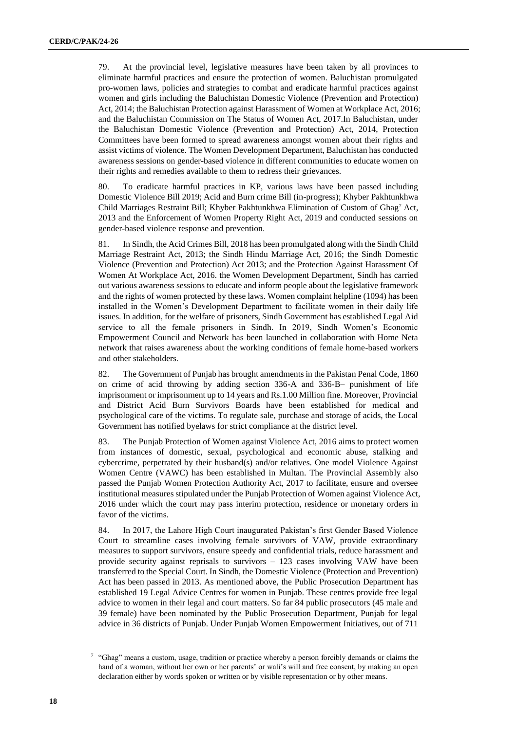79. At the provincial level, legislative measures have been taken by all provinces to eliminate harmful practices and ensure the protection of women. Baluchistan promulgated pro-women laws, policies and strategies to combat and eradicate harmful practices against women and girls including the Baluchistan Domestic Violence (Prevention and Protection) Act, 2014; the Baluchistan Protection against Harassment of Women at Workplace Act, 2016; and the Baluchistan Commission on The Status of Women Act, 2017.In Baluchistan, under the Baluchistan Domestic Violence (Prevention and Protection) Act, 2014, Protection Committees have been formed to spread awareness amongst women about their rights and assist victims of violence. The Women Development Department, Baluchistan has conducted awareness sessions on gender-based violence in different communities to educate women on their rights and remedies available to them to redress their grievances.

80. To eradicate harmful practices in KP, various laws have been passed including Domestic Violence Bill 2019; Acid and Burn crime Bill (in-progress); Khyber Pakhtunkhwa Child Marriages Restraint Bill; Khyber Pakhtunkhwa Elimination of Custom of Ghag<sup>7</sup> Act, 2013 and the Enforcement of Women Property Right Act, 2019 and conducted sessions on gender-based violence response and prevention.

81. In Sindh, the Acid Crimes Bill, 2018 has been promulgated along with the Sindh Child Marriage Restraint Act, 2013; the Sindh Hindu Marriage Act, 2016; the Sindh Domestic Violence (Prevention and Protection) Act 2013; and the Protection Against Harassment Of Women At Workplace Act, 2016. the Women Development Department, Sindh has carried out various awareness sessions to educate and inform people about the legislative framework and the rights of women protected by these laws. Women complaint helpline (1094) has been installed in the Women's Development Department to facilitate women in their daily life issues. In addition, for the welfare of prisoners, Sindh Government has established Legal Aid service to all the female prisoners in Sindh. In 2019, Sindh Women's Economic Empowerment Council and Network has been launched in collaboration with Home Neta network that raises awareness about the working conditions of female home-based workers and other stakeholders.

82. The Government of Punjab has brought amendments in the Pakistan Penal Code, 1860 on crime of acid throwing by adding section 336-A and 336-B– punishment of life imprisonment or imprisonment up to 14 years and Rs.1.00 Million fine. Moreover, Provincial and District Acid Burn Survivors Boards have been established for medical and psychological care of the victims. To regulate sale, purchase and storage of acids, the Local Government has notified byelaws for strict compliance at the district level.

83. The Punjab Protection of Women against Violence Act, 2016 aims to protect women from instances of domestic, sexual, psychological and economic abuse, stalking and cybercrime, perpetrated by their husband(s) and/or relatives. One model Violence Against Women Centre (VAWC) has been established in Multan. The Provincial Assembly also passed the Punjab Women Protection Authority Act, 2017 to facilitate, ensure and oversee institutional measures stipulated under the Punjab Protection of Women against Violence Act, 2016 under which the court may pass interim protection, residence or monetary orders in favor of the victims.

84. In 2017, the Lahore High Court inaugurated Pakistan's first Gender Based Violence Court to streamline cases involving female survivors of VAW, provide extraordinary measures to support survivors, ensure speedy and confidential trials, reduce harassment and provide security against reprisals to survivors  $-123$  cases involving VAW have been transferred to the Special Court. In Sindh, the Domestic Violence (Protection and Prevention) Act has been passed in 2013. As mentioned above, the Public Prosecution Department has established 19 Legal Advice Centres for women in Punjab. These centres provide free legal advice to women in their legal and court matters. So far 84 public prosecutors (45 male and 39 female) have been nominated by the Public Prosecution Department, Punjab for legal advice in 36 districts of Punjab. Under Punjab Women Empowerment Initiatives, out of 711

<sup>&</sup>lt;sup>7</sup> "Ghag" means a custom, usage, tradition or practice whereby a person forcibly demands or claims the hand of a woman, without her own or her parents' or wali's will and free consent, by making an open declaration either by words spoken or written or by visible representation or by other means.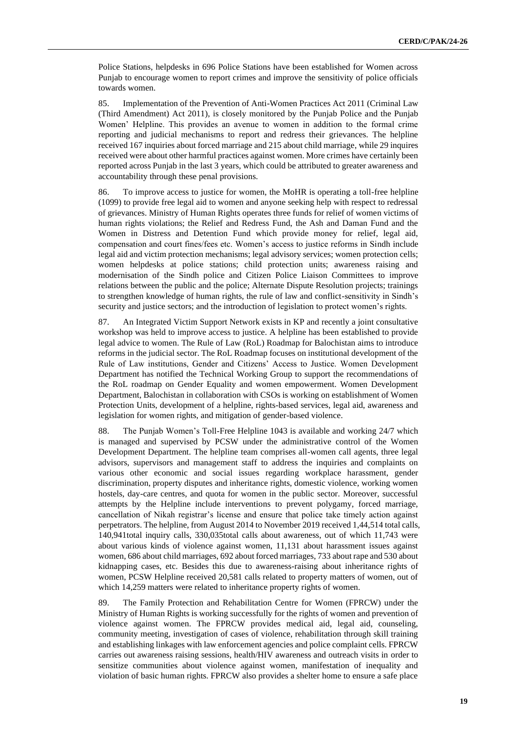Police Stations, helpdesks in 696 Police Stations have been established for Women across Punjab to encourage women to report crimes and improve the sensitivity of police officials towards women.

85. Implementation of the Prevention of Anti-Women Practices Act 2011 (Criminal Law (Third Amendment) Act 2011), is closely monitored by the Punjab Police and the Punjab Women' Helpline. This provides an avenue to women in addition to the formal crime reporting and judicial mechanisms to report and redress their grievances. The helpline received 167 inquiries about forced marriage and 215 about child marriage, while 29 inquires received were about other harmful practices against women. More crimes have certainly been reported across Punjab in the last 3 years, which could be attributed to greater awareness and accountability through these penal provisions.

86. To improve access to justice for women, the MoHR is operating a toll-free helpline (1099) to provide free legal aid to women and anyone seeking help with respect to redressal of grievances. Ministry of Human Rights operates three funds for relief of women victims of human rights violations; the Relief and Redress Fund, the Ash and Daman Fund and the Women in Distress and Detention Fund which provide money for relief, legal aid, compensation and court fines/fees etc. Women's access to justice reforms in Sindh include legal aid and victim protection mechanisms; legal advisory services; women protection cells; women helpdesks at police stations; child protection units; awareness raising and modernisation of the Sindh police and Citizen Police Liaison Committees to improve relations between the public and the police; Alternate Dispute Resolution projects; trainings to strengthen knowledge of human rights, the rule of law and conflict-sensitivity in Sindh's security and justice sectors; and the introduction of legislation to protect women's rights.

87. An Integrated Victim Support Network exists in KP and recently a joint consultative workshop was held to improve access to justice. A helpline has been established to provide legal advice to women. The Rule of Law (RoL) Roadmap for Balochistan aims to introduce reforms in the judicial sector. The RoL Roadmap focuses on institutional development of the Rule of Law institutions, Gender and Citizens' Access to Justice. Women Development Department has notified the Technical Working Group to support the recommendations of the RoL roadmap on Gender Equality and women empowerment. Women Development Department, Balochistan in collaboration with CSOs is working on establishment of Women Protection Units, development of a helpline, rights-based services, legal aid, awareness and legislation for women rights, and mitigation of gender-based violence.

88. The Punjab Women's Toll-Free Helpline 1043 is available and working 24/7 which is managed and supervised by PCSW under the administrative control of the Women Development Department. The helpline team comprises all-women call agents, three legal advisors, supervisors and management staff to address the inquiries and complaints on various other economic and social issues regarding workplace harassment, gender discrimination, property disputes and inheritance rights, domestic violence, working women hostels, day-care centres, and quota for women in the public sector. Moreover, successful attempts by the Helpline include interventions to prevent polygamy, forced marriage, cancellation of Nikah registrar's license and ensure that police take timely action against perpetrators. The helpline, from August 2014 to November 2019 received 1,44,514 total calls, 140,941total inquiry calls, 330,035total calls about awareness, out of which 11,743 were about various kinds of violence against women, 11,131 about harassment issues against women, 686 about child marriages, 692 about forced marriages, 733 about rape and 530 about kidnapping cases, etc. Besides this due to awareness-raising about inheritance rights of women, PCSW Helpline received 20,581 calls related to property matters of women, out of which 14,259 matters were related to inheritance property rights of women.

89. The Family Protection and Rehabilitation Centre for Women (FPRCW) under the Ministry of Human Rights is working successfully for the rights of women and prevention of violence against women. The FPRCW provides medical aid, legal aid, counseling, community meeting, investigation of cases of violence, rehabilitation through skill training and establishing linkages with law enforcement agencies and police complaint cells. FPRCW carries out awareness raising sessions, health/HIV awareness and outreach visits in order to sensitize communities about violence against women, manifestation of inequality and violation of basic human rights. FPRCW also provides a shelter home to ensure a safe place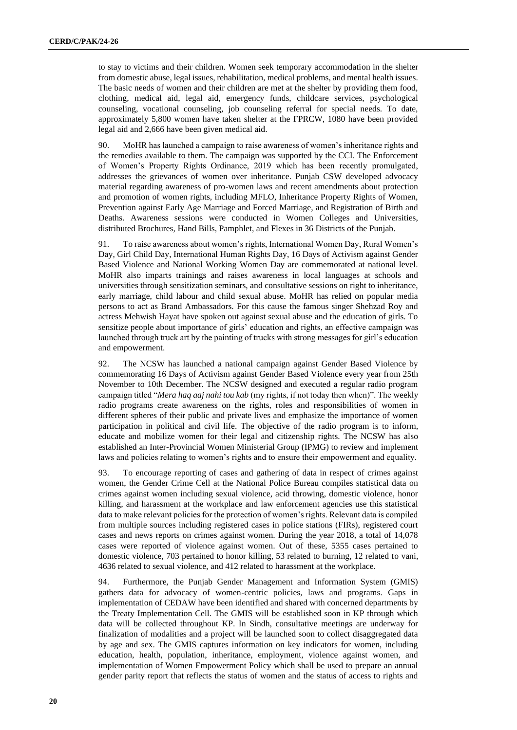to stay to victims and their children. Women seek temporary accommodation in the shelter from domestic abuse, legal issues, rehabilitation, medical problems, and mental health issues. The basic needs of women and their children are met at the shelter by providing them food, clothing, medical aid, legal aid, emergency funds, childcare services, psychological counseling, vocational counseling, job counseling referral for special needs. To date, approximately 5,800 women have taken shelter at the FPRCW, 1080 have been provided legal aid and 2,666 have been given medical aid.

90. MoHR has launched a campaign to raise awareness of women's inheritance rights and the remedies available to them. The campaign was supported by the CCI. The Enforcement of Women's Property Rights Ordinance, 2019 which has been recently promulgated, addresses the grievances of women over inheritance. Punjab CSW developed advocacy material regarding awareness of pro-women laws and recent amendments about protection and promotion of women rights, including MFLO, Inheritance Property Rights of Women, Prevention against Early Age Marriage and Forced Marriage, and Registration of Birth and Deaths. Awareness sessions were conducted in Women Colleges and Universities, distributed Brochures, Hand Bills, Pamphlet, and Flexes in 36 Districts of the Punjab.

91. To raise awareness about women's rights, International Women Day, Rural Women's Day, Girl Child Day, International Human Rights Day, 16 Days of Activism against Gender Based Violence and National Working Women Day are commemorated at national level. MoHR also imparts trainings and raises awareness in local languages at schools and universities through sensitization seminars, and consultative sessions on right to inheritance, early marriage, child labour and child sexual abuse. MoHR has relied on popular media persons to act as Brand Ambassadors. For this cause the famous singer Shehzad Roy and actress Mehwish Hayat have spoken out against sexual abuse and the education of girls. To sensitize people about importance of girls' education and rights, an effective campaign was launched through truck art by the painting of trucks with strong messages for girl's education and empowerment.

92. The NCSW has launched a national campaign against Gender Based Violence by commemorating 16 Days of Activism against Gender Based Violence every year from 25th November to 10th December. The NCSW designed and executed a regular radio program campaign titled "*Mera haq aaj nahi tou kab* (my rights, if not today then when)". The weekly radio programs create awareness on the rights, roles and responsibilities of women in different spheres of their public and private lives and emphasize the importance of women participation in political and civil life. The objective of the radio program is to inform, educate and mobilize women for their legal and citizenship rights. The NCSW has also established an Inter-Provincial Women Ministerial Group (IPMG) to review and implement laws and policies relating to women's rights and to ensure their empowerment and equality.

93. To encourage reporting of cases and gathering of data in respect of crimes against women, the Gender Crime Cell at the National Police Bureau compiles statistical data on crimes against women including sexual violence, acid throwing, domestic violence, honor killing, and harassment at the workplace and law enforcement agencies use this statistical data to make relevant policies for the protection of women's rights. Relevant data is compiled from multiple sources including registered cases in police stations (FIRs), registered court cases and news reports on crimes against women. During the year 2018, a total of 14,078 cases were reported of violence against women. Out of these, 5355 cases pertained to domestic violence, 703 pertained to honor killing, 53 related to burning, 12 related to vani, 4636 related to sexual violence, and 412 related to harassment at the workplace.

94. Furthermore, the Punjab Gender Management and Information System (GMIS) gathers data for advocacy of women-centric policies, laws and programs. Gaps in implementation of CEDAW have been identified and shared with concerned departments by the Treaty Implementation Cell. The GMIS will be established soon in KP through which data will be collected throughout KP. In Sindh, consultative meetings are underway for finalization of modalities and a project will be launched soon to collect disaggregated data by age and sex. The GMIS captures information on key indicators for women, including education, health, population, inheritance, employment, violence against women, and implementation of Women Empowerment Policy which shall be used to prepare an annual gender parity report that reflects the status of women and the status of access to rights and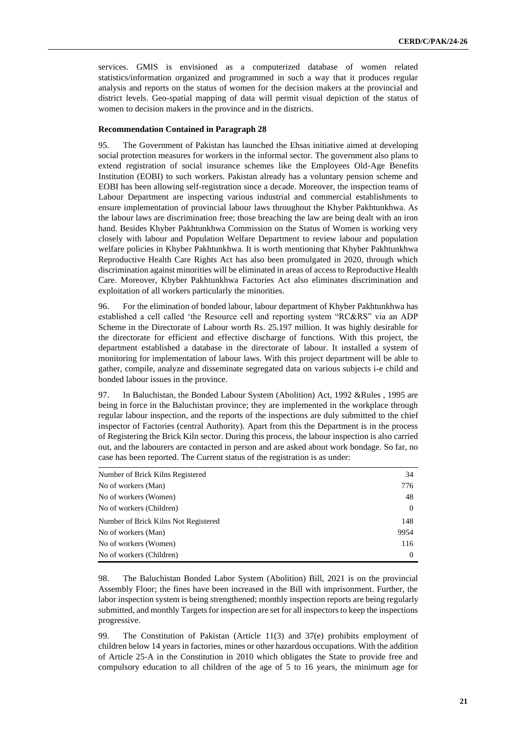services. GMIS is envisioned as a computerized database of women related statistics/information organized and programmed in such a way that it produces regular analysis and reports on the status of women for the decision makers at the provincial and district levels. Geo-spatial mapping of data will permit visual depiction of the status of women to decision makers in the province and in the districts.

#### **Recommendation Contained in Paragraph 28**

95. The Government of Pakistan has launched the Ehsas initiative aimed at developing social protection measures for workers in the informal sector. The government also plans to extend registration of social insurance schemes like the Employees Old-Age Benefits Institution (EOBI) to such workers. Pakistan already has a voluntary pension scheme and EOBI has been allowing self-registration since a decade. Moreover, the inspection teams of Labour Department are inspecting various industrial and commercial establishments to ensure implementation of provincial labour laws throughout the Khyber Pakhtunkhwa. As the labour laws are discrimination free; those breaching the law are being dealt with an iron hand. Besides Khyber Pakhtunkhwa Commission on the Status of Women is working very closely with labour and Population Welfare Department to review labour and population welfare policies in Khyber Pakhtunkhwa. It is worth mentioning that Khyber Pakhtunkhwa Reproductive Health Care Rights Act has also been promulgated in 2020, through which discrimination against minorities will be eliminated in areas of access to Reproductive Health Care. Moreover, Khyber Pakhtunkhwa Factories Act also eliminates discrimination and exploitation of all workers particularly the minorities.

96. For the elimination of bonded labour, labour department of Khyber Pakhtunkhwa has established a cell called 'the Resource cell and reporting system "RC&RS" via an ADP Scheme in the Directorate of Labour worth Rs. 25.197 million. It was highly desirable for the directorate for efficient and effective discharge of functions. With this project, the department established a database in the directorate of labour. It installed a system of monitoring for implementation of labour laws. With this project department will be able to gather, compile, analyze and disseminate segregated data on various subjects i-e child and bonded labour issues in the province.

97. In Baluchistan, the Bonded Labour System (Abolition) Act, 1992 &Rules , 1995 are being in force in the Baluchistan province; they are implemented in the workplace through regular labour inspection, and the reports of the inspections are duly submitted to the chief inspector of Factories (central Authority). Apart from this the Department is in the process of Registering the Brick Kiln sector. During this process, the labour inspection is also carried out, and the labourers are contacted in person and are asked about work bondage. So far, no case has been reported. The Current status of the registration is as under:

| Number of Brick Kilns Registered     | 34       |
|--------------------------------------|----------|
| No of workers (Man)                  | 776      |
| No of workers (Women)                | 48       |
| No of workers (Children)             | $\Omega$ |
| Number of Brick Kilns Not Registered | 148      |
| No of workers (Man)                  | 9954     |
| No of workers (Women)                | 116      |
| No of workers (Children)             | $\Omega$ |

98. The Baluchistan Bonded Labor System (Abolition) Bill, 2021 is on the provincial Assembly Floor; the fines have been increased in the Bill with imprisonment. Further, the labor inspection system is being strengthened; monthly inspection reports are being regularly submitted, and monthly Targets for inspection are set for all inspectors to keep the inspections progressive.

99. The Constitution of Pakistan (Article 11(3) and 37(e) prohibits employment of children below 14 years in factories, mines or other hazardous occupations. With the addition of Article 25-A in the Constitution in 2010 which obligates the State to provide free and compulsory education to all children of the age of 5 to 16 years, the minimum age for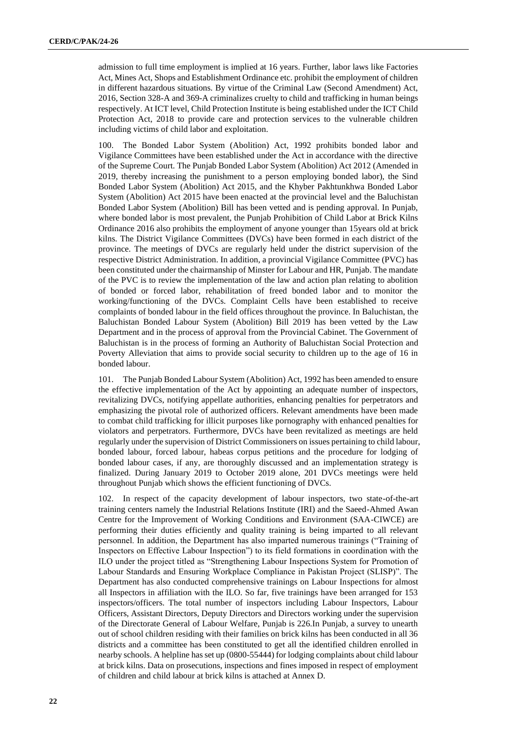admission to full time employment is implied at 16 years. Further, labor laws like Factories Act, Mines Act, Shops and Establishment Ordinance etc. prohibit the employment of children in different hazardous situations. By virtue of the Criminal Law (Second Amendment) Act, 2016, Section 328-A and 369-A criminalizes cruelty to child and trafficking in human beings respectively. At ICT level, Child Protection Institute is being established under the ICT Child Protection Act, 2018 to provide care and protection services to the vulnerable children including victims of child labor and exploitation.

100. The Bonded Labor System (Abolition) Act, 1992 prohibits bonded labor and Vigilance Committees have been established under the Act in accordance with the directive of the Supreme Court. The Punjab Bonded Labor System (Abolition) Act 2012 (Amended in 2019, thereby increasing the punishment to a person employing bonded labor), the Sind Bonded Labor System (Abolition) Act 2015, and the Khyber Pakhtunkhwa Bonded Labor System (Abolition) Act 2015 have been enacted at the provincial level and the Baluchistan Bonded Labor System (Abolition) Bill has been vetted and is pending approval. In Punjab, where bonded labor is most prevalent, the Punjab Prohibition of Child Labor at Brick Kilns Ordinance 2016 also prohibits the employment of anyone younger than 15years old at brick kilns. The District Vigilance Committees (DVCs) have been formed in each district of the province. The meetings of DVCs are regularly held under the district supervision of the respective District Administration. In addition, a provincial Vigilance Committee (PVC) has been constituted under the chairmanship of Minster for Labour and HR, Punjab. The mandate of the PVC is to review the implementation of the law and action plan relating to abolition of bonded or forced labor, rehabilitation of freed bonded labor and to monitor the working/functioning of the DVCs. Complaint Cells have been established to receive complaints of bonded labour in the field offices throughout the province. In Baluchistan, the Baluchistan Bonded Labour System (Abolition) Bill 2019 has been vetted by the Law Department and in the process of approval from the Provincial Cabinet. The Government of Baluchistan is in the process of forming an Authority of Baluchistan Social Protection and Poverty Alleviation that aims to provide social security to children up to the age of 16 in bonded labour.

101. The Punjab Bonded Labour System (Abolition) Act, 1992 has been amended to ensure the effective implementation of the Act by appointing an adequate number of inspectors, revitalizing DVCs, notifying appellate authorities, enhancing penalties for perpetrators and emphasizing the pivotal role of authorized officers. Relevant amendments have been made to combat child trafficking for illicit purposes like pornography with enhanced penalties for violators and perpetrators. Furthermore, DVCs have been revitalized as meetings are held regularly under the supervision of District Commissioners on issues pertaining to child labour, bonded labour, forced labour, habeas corpus petitions and the procedure for lodging of bonded labour cases, if any, are thoroughly discussed and an implementation strategy is finalized. During January 2019 to October 2019 alone, 201 DVCs meetings were held throughout Punjab which shows the efficient functioning of DVCs.

102. In respect of the capacity development of labour inspectors, two state-of-the-art training centers namely the Industrial Relations Institute (IRI) and the Saeed-Ahmed Awan Centre for the Improvement of Working Conditions and Environment (SAA-CIWCE) are performing their duties efficiently and quality training is being imparted to all relevant personnel. In addition, the Department has also imparted numerous trainings ("Training of Inspectors on Effective Labour Inspection") to its field formations in coordination with the ILO under the project titled as "Strengthening Labour Inspections System for Promotion of Labour Standards and Ensuring Workplace Compliance in Pakistan Project (SLISP)". The Department has also conducted comprehensive trainings on Labour Inspections for almost all Inspectors in affiliation with the ILO. So far, five trainings have been arranged for 153 inspectors/officers. The total number of inspectors including Labour Inspectors, Labour Officers, Assistant Directors, Deputy Directors and Directors working under the supervision of the Directorate General of Labour Welfare, Punjab is 226.In Punjab, a survey to unearth out of school children residing with their families on brick kilns has been conducted in all 36 districts and a committee has been constituted to get all the identified children enrolled in nearby schools. A helpline has set up (0800-55444) for lodging complaints about child labour at brick kilns. Data on prosecutions, inspections and fines imposed in respect of employment of children and child labour at brick kilns is attached at Annex D.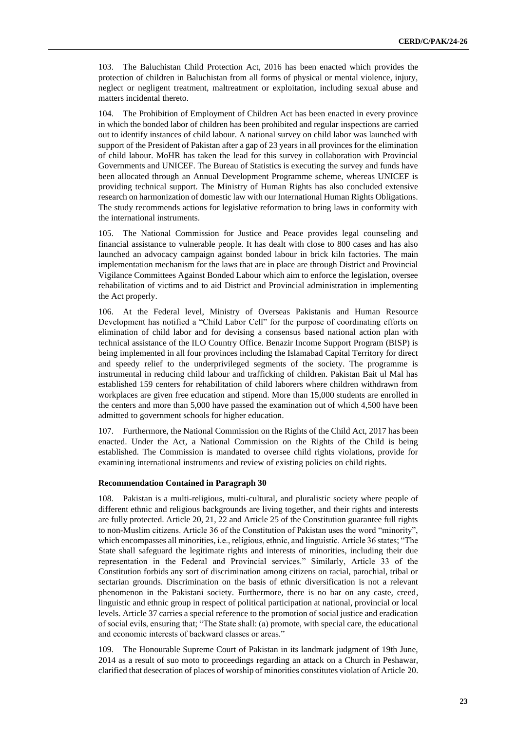103. The Baluchistan Child Protection Act, 2016 has been enacted which provides the protection of children in Baluchistan from all forms of physical or mental violence, injury, neglect or negligent treatment, maltreatment or exploitation, including sexual abuse and matters incidental thereto.

104. The Prohibition of Employment of Children Act has been enacted in every province in which the bonded labor of children has been prohibited and regular inspections are carried out to identify instances of child labour. A national survey on child labor was launched with support of the President of Pakistan after a gap of 23 years in all provinces for the elimination of child labour. MoHR has taken the lead for this survey in collaboration with Provincial Governments and UNICEF. The Bureau of Statistics is executing the survey and funds have been allocated through an Annual Development Programme scheme, whereas UNICEF is providing technical support. The Ministry of Human Rights has also concluded extensive research on harmonization of domestic law with our International Human Rights Obligations. The study recommends actions for legislative reformation to bring laws in conformity with the international instruments.

105. The National Commission for Justice and Peace provides legal counseling and financial assistance to vulnerable people. It has dealt with close to 800 cases and has also launched an advocacy campaign against bonded labour in brick kiln factories. The main implementation mechanism for the laws that are in place are through District and Provincial Vigilance Committees Against Bonded Labour which aim to enforce the legislation, oversee rehabilitation of victims and to aid District and Provincial administration in implementing the Act properly.

106. At the Federal level, Ministry of Overseas Pakistanis and Human Resource Development has notified a "Child Labor Cell" for the purpose of coordinating efforts on elimination of child labor and for devising a consensus based national action plan with technical assistance of the ILO Country Office. Benazir Income Support Program (BISP) is being implemented in all four provinces including the Islamabad Capital Territory for direct and speedy relief to the underprivileged segments of the society. The programme is instrumental in reducing child labour and trafficking of children. Pakistan Bait ul Mal has established 159 centers for rehabilitation of child laborers where children withdrawn from workplaces are given free education and stipend. More than 15,000 students are enrolled in the centers and more than 5,000 have passed the examination out of which 4,500 have been admitted to government schools for higher education.

107. Furthermore, the National Commission on the Rights of the Child Act, 2017 has been enacted. Under the Act, a National Commission on the Rights of the Child is being established. The Commission is mandated to oversee child rights violations, provide for examining international instruments and review of existing policies on child rights.

#### **Recommendation Contained in Paragraph 30**

108. Pakistan is a multi-religious, multi-cultural, and pluralistic society where people of different ethnic and religious backgrounds are living together, and their rights and interests are fully protected. Article 20, 21, 22 and Article 25 of the Constitution guarantee full rights to non-Muslim citizens. Article 36 of the Constitution of Pakistan uses the word "minority", which encompasses all minorities, i.e., religious, ethnic, and linguistic. Article 36 states; "The State shall safeguard the legitimate rights and interests of minorities, including their due representation in the Federal and Provincial services." Similarly, Article 33 of the Constitution forbids any sort of discrimination among citizens on racial, parochial, tribal or sectarian grounds. Discrimination on the basis of ethnic diversification is not a relevant phenomenon in the Pakistani society. Furthermore, there is no bar on any caste, creed, linguistic and ethnic group in respect of political participation at national, provincial or local levels. Article 37 carries a special reference to the promotion of social justice and eradication of social evils, ensuring that; "The State shall: (a) promote, with special care, the educational and economic interests of backward classes or areas."

109. The Honourable Supreme Court of Pakistan in its landmark judgment of 19th June, 2014 as a result of suo moto to proceedings regarding an attack on a Church in Peshawar, clarified that desecration of places of worship of minorities constitutes violation of Article 20.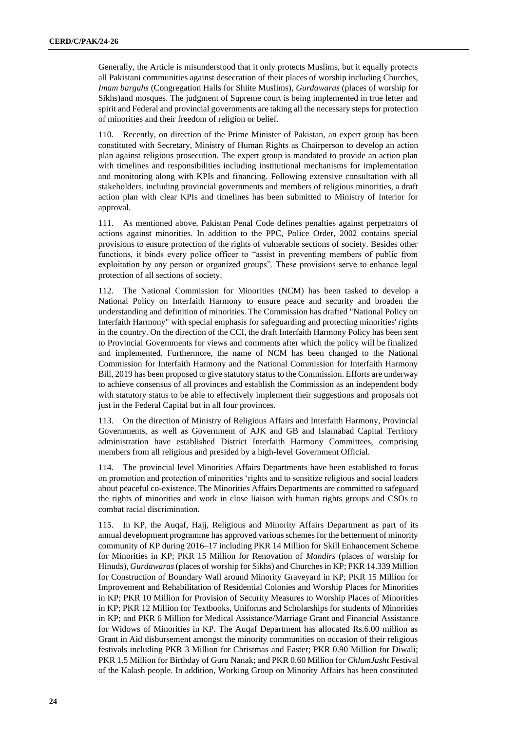Generally, the Article is misunderstood that it only protects Muslims, but it equally protects all Pakistani communities against desecration of their places of worship including Churches, *Imam bargahs* (Congregation Halls for Shiite Muslims), *Gurdawaras* (places of worship for Sikhs)and mosques. The judgment of Supreme court is being implemented in true letter and spirit and Federal and provincial governments are taking all the necessary steps for protection of minorities and their freedom of religion or belief.

110. Recently, on direction of the Prime Minister of Pakistan, an expert group has been constituted with Secretary, Ministry of Human Rights as Chairperson to develop an action plan against religious prosecution. The expert group is mandated to provide an action plan with timelines and responsibilities including institutional mechanisms for implementation and monitoring along with KPIs and financing. Following extensive consultation with all stakeholders, including provincial governments and members of religious minorities, a draft action plan with clear KPIs and timelines has been submitted to Ministry of Interior for approval.

111. As mentioned above, Pakistan Penal Code defines penalties against perpetrators of actions against minorities. In addition to the PPC, Police Order, 2002 contains special provisions to ensure protection of the rights of vulnerable sections of society. Besides other functions, it binds every police officer to "assist in preventing members of public from exploitation by any person or organized groups". These provisions serve to enhance legal protection of all sections of society.

112. The National Commission for Minorities (NCM) has been tasked to develop a National Policy on Interfaith Harmony to ensure peace and security and broaden the understanding and definition of minorities. The Commission has drafted "National Policy on Interfaith Harmony" with special emphasis for safeguarding and protecting minorities' rights in the country. On the direction of the CCI, the draft Interfaith Harmony Policy has been sent to Provincial Governments for views and comments after which the policy will be finalized and implemented. Furthermore, the name of NCM has been changed to the National Commission for Interfaith Harmony and the National Commission for Interfaith Harmony Bill, 2019 has been proposed to give statutory status to the Commission. Efforts are underway to achieve consensus of all provinces and establish the Commission as an independent body with statutory status to be able to effectively implement their suggestions and proposals not just in the Federal Capital but in all four provinces.

113. On the direction of Ministry of Religious Affairs and Interfaith Harmony, Provincial Governments, as well as Government of AJK and GB and Islamabad Capital Territory administration have established District Interfaith Harmony Committees, comprising members from all religious and presided by a high-level Government Official.

114. The provincial level Minorities Affairs Departments have been established to focus on promotion and protection of minorities 'rights and to sensitize religious and social leaders about peaceful co-existence. The Minorities Affairs Departments are committed to safeguard the rights of minorities and work in close liaison with human rights groups and CSOs to combat racial discrimination.

115. In KP, the Auqaf, Hajj, Religious and Minority Affairs Department as part of its annual development programme has approved various schemes for the betterment of minority community of KP during 2016–17 including PKR 14 Million for Skill Enhancement Scheme for Minorities in KP; PKR 15 Million for Renovation of *Mandirs* (places of worship for Hinuds), *Gurdawaras* (places of worship for Sikhs) and Churches in KP; PKR 14.339 Million for Construction of Boundary Wall around Minority Graveyard in KP; PKR 15 Million for Improvement and Rehabilitation of Residential Colonies and Worship Places for Minorities in KP; PKR 10 Million for Provision of Security Measures to Worship Places of Minorities in KP; PKR 12 Million for Textbooks, Uniforms and Scholarships for students of Minorities in KP; and PKR 6 Million for Medical Assistance/Marriage Grant and Financial Assistance for Widows of Minorities in KP. The Auqaf Department has allocated Rs.6.00 million as Grant in Aid disbursement amongst the minority communities on occasion of their religious festivals including PKR 3 Million for Christmas and Easter; PKR 0.90 Million for Diwali; PKR 1.5 Million for Birthday of Guru Nanak; and PKR 0.60 Million for *ChlumJusht* Festival of the Kalash people. In addition, Working Group on Minority Affairs has been constituted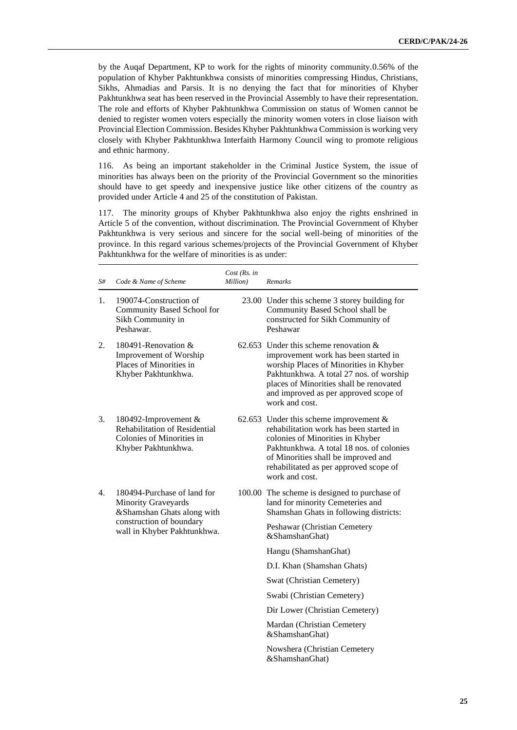by the Auqaf Department, KP to work for the rights of minority community.0.56% of the population of Khyber Pakhtunkhwa consists of minorities compressing Hindus, Christians, Sikhs, Ahmadias and Parsis. It is no denying the fact that for minorities of Khyber Pakhtunkhwa seat has been reserved in the Provincial Assembly to have their representation. The role and efforts of Khyber Pakhtunkhwa Commission on status of Women cannot be denied to register women voters especially the minority women voters in close liaison with Provincial Election Commission. Besides Khyber Pakhtunkhwa Commission is working very closely with Khyber Pakhtunkhwa Interfaith Harmony Council wing to promote religious and ethnic harmony.

116. As being an important stakeholder in the Criminal Justice System, the issue of minorities has always been on the priority of the Provincial Government so the minorities should have to get speedy and inexpensive justice like other citizens of the country as provided under Article 4 and 25 of the constitution of Pakistan.

117. The minority groups of Khyber Pakhtunkhwa also enjoy the rights enshrined in Article 5 of the convention, without discrimination. The Provincial Government of Khyber Pakhtunkhwa is very serious and sincere for the social well-being of minorities of the province. In this regard various schemes/projects of the Provincial Government of Khyber Pakhtunkhwa for the welfare of minorities is as under:

| S# | Code & Name of Scheme                                                                                     | $Cost$ (Rs. in<br>Million) | <b>Remarks</b>                                                                                                                                                                                                                                                             |
|----|-----------------------------------------------------------------------------------------------------------|----------------------------|----------------------------------------------------------------------------------------------------------------------------------------------------------------------------------------------------------------------------------------------------------------------------|
| 1. | 190074-Construction of<br>Community Based School for<br>Sikh Community in<br>Peshawar.                    |                            | 23.00 Under this scheme 3 storey building for<br>Community Based School shall be<br>constructed for Sikh Community of<br>Peshawar                                                                                                                                          |
| 2. | 180491-Renovation &<br><b>Improvement of Worship</b><br>Places of Minorities in<br>Khyber Pakhtunkhwa.    |                            | 62.653 Under this scheme renovation $&$<br>improvement work has been started in<br>worship Places of Minorities in Khyber<br>Pakhtunkhwa. A total 27 nos. of worship<br>places of Minorities shall be renovated<br>and improved as per approved scope of<br>work and cost. |
| 3. | 180492-Improvement &<br>Rehabilitation of Residential<br>Colonies of Minorities in<br>Khyber Pakhtunkhwa. |                            | 62.653 Under this scheme improvement $&$<br>rehabilitation work has been started in<br>colonies of Minorities in Khyber<br>Pakhtunkhwa. A total 18 nos. of colonies<br>of Minorities shall be improved and<br>rehabilitated as per approved scope of<br>work and cost.     |
| 4. | 180494-Purchase of land for<br><b>Minority Graveyards</b><br>&Shamshan Ghats along with                   |                            | 100.00 The scheme is designed to purchase of<br>land for minority Cemeteries and<br>Shamshan Ghats in following districts:                                                                                                                                                 |
|    | construction of boundary<br>wall in Khyber Pakhtunkhwa.                                                   |                            | Peshawar (Christian Cemetery<br>&ShamshanGhat)                                                                                                                                                                                                                             |
|    |                                                                                                           |                            | Hangu (ShamshanGhat)                                                                                                                                                                                                                                                       |
|    |                                                                                                           |                            | D.I. Khan (Shamshan Ghats)                                                                                                                                                                                                                                                 |
|    |                                                                                                           |                            | Swat (Christian Cemetery)                                                                                                                                                                                                                                                  |
|    |                                                                                                           |                            | Swabi (Christian Cemetery)                                                                                                                                                                                                                                                 |
|    |                                                                                                           |                            | Dir Lower (Christian Cemetery)                                                                                                                                                                                                                                             |
|    |                                                                                                           |                            | Mardan (Christian Cemetery<br>&ShamshanGhat)                                                                                                                                                                                                                               |
|    |                                                                                                           |                            | Nowshera (Christian Cemetery<br>&ShamshanGhat)                                                                                                                                                                                                                             |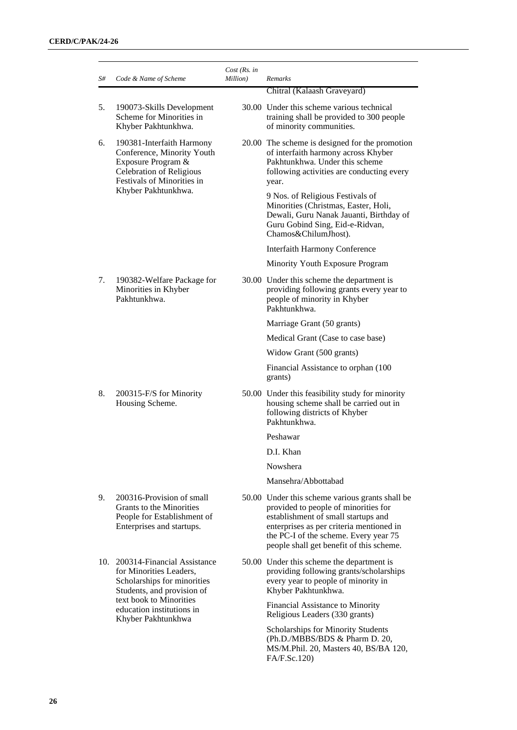| S#  | Code & Name of Scheme                                                                                                                          | $Cost$ (Rs. in<br>Million) | Remarks                                                                                                                                                                                                                                                         |
|-----|------------------------------------------------------------------------------------------------------------------------------------------------|----------------------------|-----------------------------------------------------------------------------------------------------------------------------------------------------------------------------------------------------------------------------------------------------------------|
|     |                                                                                                                                                |                            | Chitral (Kalaash Graveyard)                                                                                                                                                                                                                                     |
| 5.  | 190073-Skills Development<br>Scheme for Minorities in<br>Khyber Pakhtunkhwa.                                                                   |                            | 30.00 Under this scheme various technical<br>training shall be provided to 300 people<br>of minority communities.                                                                                                                                               |
| 6.  | 190381-Interfaith Harmony<br>Conference, Minority Youth<br>Exposure Program &<br><b>Celebration of Religious</b><br>Festivals of Minorities in |                            | 20.00 The scheme is designed for the promotion<br>of interfaith harmony across Khyber<br>Pakhtunkhwa. Under this scheme<br>following activities are conducting every<br>year.                                                                                   |
|     | Khyber Pakhtunkhwa.                                                                                                                            |                            | 9 Nos. of Religious Festivals of<br>Minorities (Christmas, Easter, Holi,<br>Dewali, Guru Nanak Jauanti, Birthday of<br>Guru Gobind Sing, Eid-e-Ridvan,<br>Chamos&ChilumJhost).                                                                                  |
|     |                                                                                                                                                |                            | Interfaith Harmony Conference                                                                                                                                                                                                                                   |
|     |                                                                                                                                                |                            | Minority Youth Exposure Program                                                                                                                                                                                                                                 |
| 7.  | 190382-Welfare Package for<br>Minorities in Khyber<br>Pakhtunkhwa.                                                                             |                            | 30.00 Under this scheme the department is<br>providing following grants every year to<br>people of minority in Khyber<br>Pakhtunkhwa.                                                                                                                           |
|     |                                                                                                                                                |                            | Marriage Grant (50 grants)                                                                                                                                                                                                                                      |
|     |                                                                                                                                                |                            | Medical Grant (Case to case base)                                                                                                                                                                                                                               |
|     |                                                                                                                                                |                            | Widow Grant (500 grants)                                                                                                                                                                                                                                        |
|     |                                                                                                                                                |                            | Financial Assistance to orphan (100)<br>grants)                                                                                                                                                                                                                 |
| 8.  | 200315-F/S for Minority<br>Housing Scheme.                                                                                                     |                            | 50.00 Under this feasibility study for minority<br>housing scheme shall be carried out in<br>following districts of Khyber<br>Pakhtunkhwa.                                                                                                                      |
|     |                                                                                                                                                |                            | Peshawar                                                                                                                                                                                                                                                        |
|     |                                                                                                                                                |                            | D.I. Khan                                                                                                                                                                                                                                                       |
|     |                                                                                                                                                |                            | Nowshera                                                                                                                                                                                                                                                        |
|     |                                                                                                                                                |                            | Mansehra/Abbottabad                                                                                                                                                                                                                                             |
| 9.  | 200316-Provision of small<br>Grants to the Minorities<br>People for Establishment of<br>Enterprises and startups.                              |                            | 50.00 Under this scheme various grants shall be<br>provided to people of minorities for<br>establishment of small startups and<br>enterprises as per criteria mentioned in<br>the PC-I of the scheme. Every year 75<br>people shall get benefit of this scheme. |
| 10. | 200314-Financial Assistance<br>for Minorities Leaders,<br>Scholarships for minorities<br>Students, and provision of                            |                            | 50.00 Under this scheme the department is<br>providing following grants/scholarships<br>every year to people of minority in<br>Khyber Pakhtunkhwa.                                                                                                              |
|     | text book to Minorities<br>education institutions in<br>Khyber Pakhtunkhwa                                                                     |                            | Financial Assistance to Minority<br>Religious Leaders (330 grants)                                                                                                                                                                                              |
|     |                                                                                                                                                |                            | Scholarships for Minority Students<br>(Ph.D./MBBS/BDS & Pharm D. 20,<br>MS/M.Phil. 20, Masters 40, BS/BA 120,                                                                                                                                                   |

FA/F.Sc.120)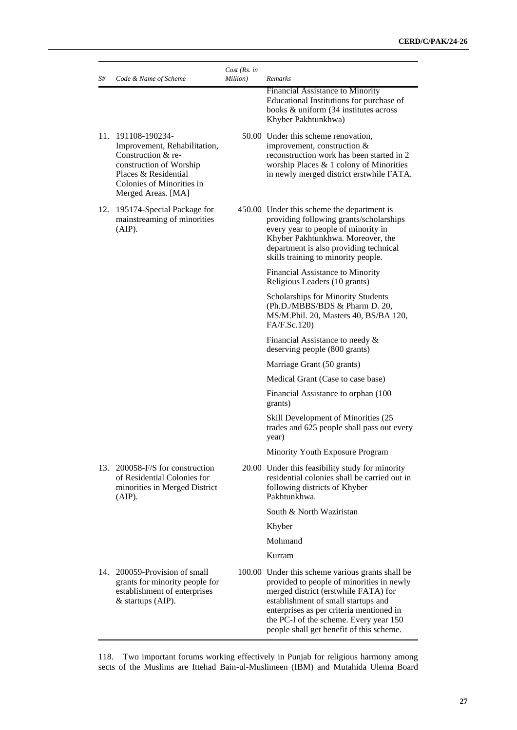| S#  | Code & Name of Scheme                                                                                                                                                          | $Cost$ (Rs. in<br>Million) | Remarks                                                                                                                                                                                                                                                                                                        |
|-----|--------------------------------------------------------------------------------------------------------------------------------------------------------------------------------|----------------------------|----------------------------------------------------------------------------------------------------------------------------------------------------------------------------------------------------------------------------------------------------------------------------------------------------------------|
|     |                                                                                                                                                                                |                            | Financial Assistance to Minority<br>Educational Institutions for purchase of<br>books & uniform (34 institutes across<br>Khyber Pakhtunkhwa)                                                                                                                                                                   |
|     | 11. 191108-190234-<br>Improvement, Rehabilitation,<br>Construction & re-<br>construction of Worship<br>Places & Residential<br>Colonies of Minorities in<br>Merged Areas. [MA] |                            | 50.00 Under this scheme renovation,<br>improvement, construction &<br>reconstruction work has been started in 2<br>worship Places $\&$ 1 colony of Minorities<br>in newly merged district erstwhile FATA.                                                                                                      |
| 12. | 195174-Special Package for<br>mainstreaming of minorities<br>$(AIP)$ .                                                                                                         |                            | 450.00 Under this scheme the department is<br>providing following grants/scholarships<br>every year to people of minority in<br>Khyber Pakhtunkhwa. Moreover, the<br>department is also providing technical<br>skills training to minority people.                                                             |
|     |                                                                                                                                                                                |                            | Financial Assistance to Minority<br>Religious Leaders (10 grants)                                                                                                                                                                                                                                              |
|     |                                                                                                                                                                                |                            | Scholarships for Minority Students<br>(Ph.D./MBBS/BDS & Pharm D. 20,<br>MS/M.Phil. 20, Masters 40, BS/BA 120,<br>FA/F.Sc.120)                                                                                                                                                                                  |
|     |                                                                                                                                                                                |                            | Financial Assistance to needy $\&$<br>deserving people (800 grants)                                                                                                                                                                                                                                            |
|     |                                                                                                                                                                                |                            | Marriage Grant (50 grants)                                                                                                                                                                                                                                                                                     |
|     |                                                                                                                                                                                |                            | Medical Grant (Case to case base)                                                                                                                                                                                                                                                                              |
|     |                                                                                                                                                                                |                            | Financial Assistance to orphan (100)<br>grants)                                                                                                                                                                                                                                                                |
|     |                                                                                                                                                                                |                            | Skill Development of Minorities (25<br>trades and 625 people shall pass out every<br>year)                                                                                                                                                                                                                     |
|     |                                                                                                                                                                                |                            | Minority Youth Exposure Program                                                                                                                                                                                                                                                                                |
|     | 13. 200058-F/S for construction<br>of Residential Colonies for<br>minorities in Merged District<br>$(AIP)$ .                                                                   |                            | 20.00 Under this feasibility study for minority<br>residential colonies shall be carried out in<br>following districts of Khyber<br>Pakhtunkhwa.                                                                                                                                                               |
|     |                                                                                                                                                                                |                            | South & North Waziristan                                                                                                                                                                                                                                                                                       |
|     |                                                                                                                                                                                |                            | Khyber                                                                                                                                                                                                                                                                                                         |
|     |                                                                                                                                                                                |                            | Mohmand                                                                                                                                                                                                                                                                                                        |
|     |                                                                                                                                                                                |                            | Kurram                                                                                                                                                                                                                                                                                                         |
|     | 14. 200059-Provision of small<br>grants for minority people for<br>establishment of enterprises<br>& startups (AIP).                                                           |                            | 100.00 Under this scheme various grants shall be<br>provided to people of minorities in newly<br>merged district (erstwhile FATA) for<br>establishment of small startups and<br>enterprises as per criteria mentioned in<br>the PC-I of the scheme. Every year 150<br>people shall get benefit of this scheme. |

118. Two important forums working effectively in Punjab for religious harmony among sects of the Muslims are Ittehad Bain-ul-Muslimeen (IBM) and Mutahida Ulema Board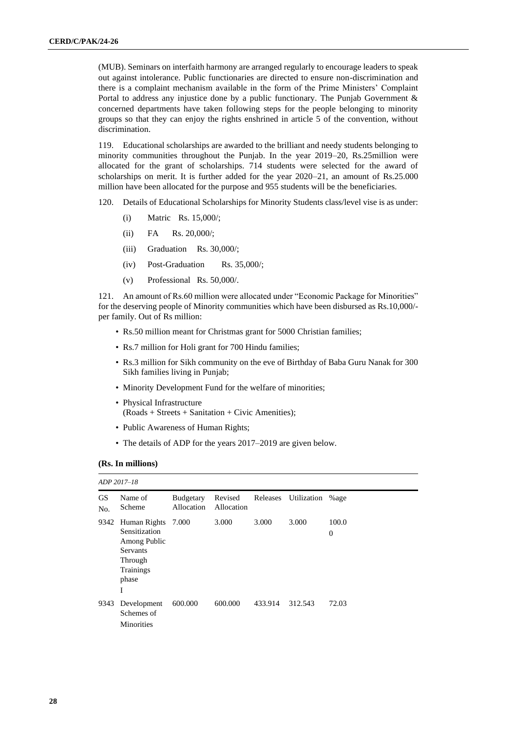(MUB). Seminars on interfaith harmony are arranged regularly to encourage leaders to speak out against intolerance. Public functionaries are directed to ensure non-discrimination and there is a complaint mechanism available in the form of the Prime Ministers' Complaint Portal to address any injustice done by a public functionary. The Punjab Government & concerned departments have taken following steps for the people belonging to minority groups so that they can enjoy the rights enshrined in article 5 of the convention, without discrimination.

119. Educational scholarships are awarded to the brilliant and needy students belonging to minority communities throughout the Punjab. In the year 2019–20, Rs.25million were allocated for the grant of scholarships. 714 students were selected for the award of scholarships on merit. It is further added for the year 2020–21, an amount of Rs.25.000 million have been allocated for the purpose and 955 students will be the beneficiaries.

120. Details of Educational Scholarships for Minority Students class/level vise is as under:

- (i) Matric Rs. 15,000/;
- (ii) FA Rs. 20,000/;
- (iii) Graduation Rs. 30,000/;
- (iv) Post-Graduation Rs. 35,000/;
- (v) Professional Rs. 50,000/.

121. An amount of Rs.60 million were allocated under "Economic Package for Minorities" for the deserving people of Minority communities which have been disbursed as Rs.10,000/ per family. Out of Rs million:

- Rs.50 million meant for Christmas grant for 5000 Christian families;
- Rs.7 million for Holi grant for 700 Hindu families;
- Rs.3 million for Sikh community on the eve of Birthday of Baba Guru Nanak for 300 Sikh families living in Punjab;
- Minority Development Fund for the welfare of minorities;
- Physical Infrastructure  $(Roads + Streets + Sanitation + Civic$  Amenities);
- Public Awareness of Human Rights;
- The details of ADP for the years 2017–2019 are given below.

#### **(Rs. In millions)**

*ADP 2017–18*

|                  | $ADI 2017 - 10$                                                                                 |                                |                       |          |             |                   |
|------------------|-------------------------------------------------------------------------------------------------|--------------------------------|-----------------------|----------|-------------|-------------------|
| <b>GS</b><br>No. | Name of<br>Scheme                                                                               | <b>Budgetary</b><br>Allocation | Revised<br>Allocation | Releases | Utilization | %age              |
| 9342             | Human Rights<br>Sensitization<br>Among Public<br>Servants<br>Through<br>Trainings<br>phase<br>I | 7.000                          | 3.000                 | 3.000    | 3.000       | 100.0<br>$\theta$ |
| 9343             | Development<br>Schemes of<br><b>Minorities</b>                                                  | 600.000                        | 600.000               | 433.914  | 312.543     | 72.03             |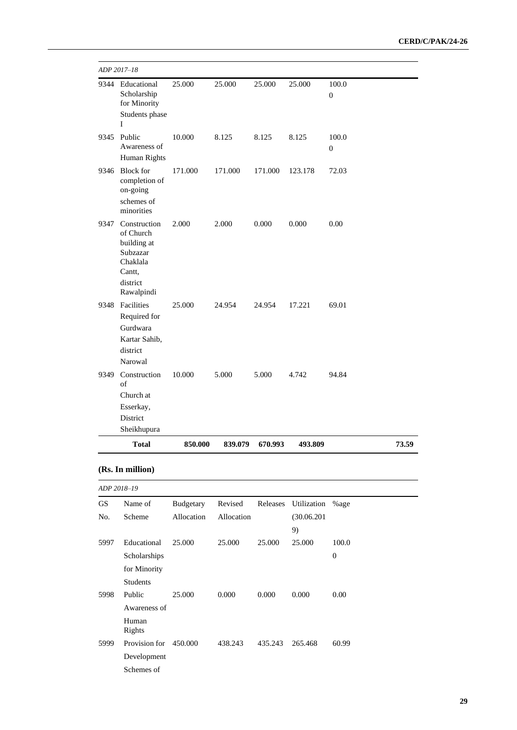|           | ADP 2017–18                                                                                          |            |            |          |                   |                           |       |
|-----------|------------------------------------------------------------------------------------------------------|------------|------------|----------|-------------------|---------------------------|-------|
|           | 9344 Educational<br>Scholarship<br>for Minority<br>Students phase<br>I                               | 25.000     | 25.000     | 25.000   | 25.000            | 100.0<br>$\boldsymbol{0}$ |       |
| 9345      | Public<br>Awareness of<br>Human Rights                                                               | 10.000     | 8.125      | 8.125    | 8.125             | 100.0<br>$\overline{0}$   |       |
| 9346      | <b>Block</b> for<br>completion of<br>on-going<br>schemes of<br>minorities                            | 171.000    | 171.000    | 171.000  | 123.178           | 72.03                     |       |
| 9347      | Construction<br>of Church<br>building at<br>Subzazar<br>Chaklala<br>Cantt,<br>district<br>Rawalpindi | 2.000      | 2.000      | 0.000    | 0.000             | 0.00                      |       |
| 9348      | Facilities<br>Required for<br>Gurdwara<br>Kartar Sahib,<br>district<br>Narowal                       | 25.000     | 24.954     | 24.954   | 17.221            | 69.01                     |       |
| 9349      | Construction<br>of<br>Church at<br>Esserkay,<br>District<br>Sheikhupura                              | 10.000     | 5.000      | 5.000    | 4.742             | 94.84                     |       |
|           | <b>Total</b>                                                                                         | 850.000    | 839.079    | 670.993  | 493.809           |                           | 73.59 |
|           | (Rs. In million)                                                                                     |            |            |          |                   |                           |       |
|           | ADP 2018-19                                                                                          |            |            |          |                   |                           |       |
| <b>GS</b> | Name of                                                                                              | Budgetary  | Revised    | Releases | Utilization       | %age                      |       |
| No.       | Scheme                                                                                               | Allocation | Allocation |          | (30.06.201)<br>9) |                           |       |
| 5997      | Educational<br>Scholarships<br>for Minority<br><b>Students</b>                                       | 25.000     | 25.000     | 25.000   | 25.000            | 100.0<br>$\overline{0}$   |       |
| 5998      | Public<br>Awareness of<br>Human<br>Rights                                                            | 25.000     | 0.000      | 0.000    | 0.000             | 0.00                      |       |
| 5999      | Provision for<br>Development                                                                         | 450.000    | 438.243    | 435.243  | 265.468           | 60.99                     |       |

Schemes of

**29**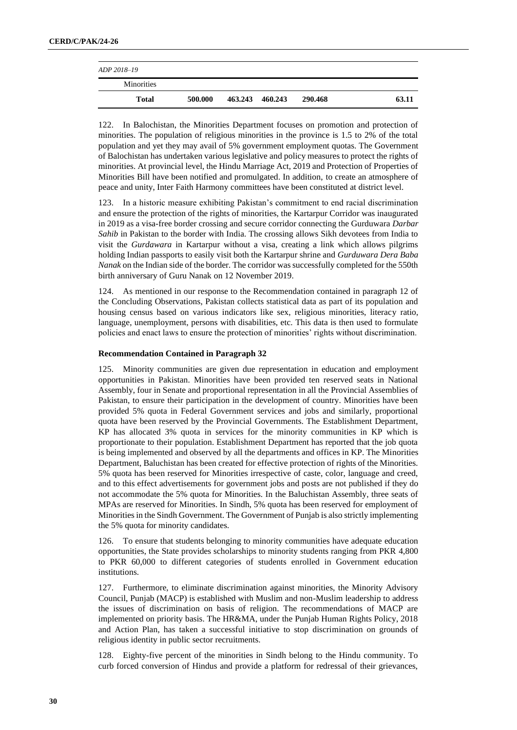| ADP 2018-19       |         |                 |         |       |
|-------------------|---------|-----------------|---------|-------|
| <b>Minorities</b> |         |                 |         |       |
| <b>Total</b>      | 500.000 | 463.243 460.243 | 290.468 | 63.11 |

122. In Balochistan, the Minorities Department focuses on promotion and protection of minorities. The population of religious minorities in the province is 1.5 to 2% of the total population and yet they may avail of 5% government employment quotas. The Government of Balochistan has undertaken various legislative and policy measures to protect the rights of minorities. At provincial level, the Hindu Marriage Act, 2019 and Protection of Properties of Minorities Bill have been notified and promulgated. In addition, to create an atmosphere of peace and unity, Inter Faith Harmony committees have been constituted at district level.

123. In a historic measure exhibiting Pakistan's commitment to end racial discrimination and ensure the protection of the rights of minorities, the Kartarpur Corridor was inaugurated in 2019 as a visa-free border crossing and secure corridor connecting the Gurduwara *Darbar Sahib* in Pakistan to the border with India. The crossing allows Sikh devotees from India to visit the *Gurdawara* in Kartarpur without a visa, creating a link which allows pilgrims holding Indian passports to easily visit both the Kartarpur shrine and *Gurduwara Dera Baba Nanak* on the Indian side of the border. The corridor was successfully completed for the 550th birth anniversary of Guru Nanak on 12 November 2019.

124. As mentioned in our response to the Recommendation contained in paragraph 12 of the Concluding Observations, Pakistan collects statistical data as part of its population and housing census based on various indicators like sex, religious minorities, literacy ratio, language, unemployment, persons with disabilities, etc. This data is then used to formulate policies and enact laws to ensure the protection of minorities' rights without discrimination.

# **Recommendation Contained in Paragraph 32**

125. Minority communities are given due representation in education and employment opportunities in Pakistan. Minorities have been provided ten reserved seats in National Assembly, four in Senate and proportional representation in all the Provincial Assemblies of Pakistan, to ensure their participation in the development of country. Minorities have been provided 5% quota in Federal Government services and jobs and similarly, proportional quota have been reserved by the Provincial Governments. The Establishment Department, KP has allocated 3% quota in services for the minority communities in KP which is proportionate to their population. Establishment Department has reported that the job quota is being implemented and observed by all the departments and offices in KP. The Minorities Department, Baluchistan has been created for effective protection of rights of the Minorities. 5% quota has been reserved for Minorities irrespective of caste, color, language and creed, and to this effect advertisements for government jobs and posts are not published if they do not accommodate the 5% quota for Minorities. In the Baluchistan Assembly, three seats of MPAs are reserved for Minorities. In Sindh, 5% quota has been reserved for employment of Minorities in the Sindh Government. The Government of Punjab is also strictly implementing the 5% quota for minority candidates.

126. To ensure that students belonging to minority communities have adequate education opportunities, the State provides scholarships to minority students ranging from PKR 4,800 to PKR 60,000 to different categories of students enrolled in Government education institutions.

127. Furthermore, to eliminate discrimination against minorities, the Minority Advisory Council, Punjab (MACP) is established with Muslim and non-Muslim leadership to address the issues of discrimination on basis of religion. The recommendations of MACP are implemented on priority basis. The HR&MA, under the Punjab Human Rights Policy, 2018 and Action Plan, has taken a successful initiative to stop discrimination on grounds of religious identity in public sector recruitments.

128. Eighty-five percent of the minorities in Sindh belong to the Hindu community. To curb forced conversion of Hindus and provide a platform for redressal of their grievances,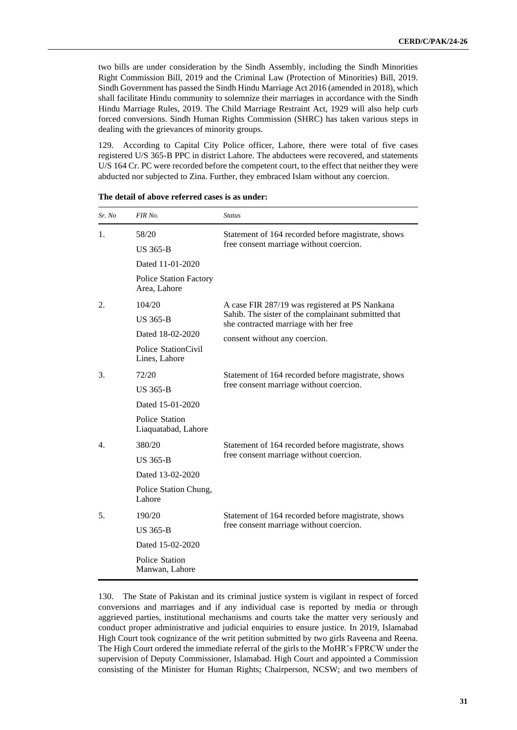two bills are under consideration by the Sindh Assembly, including the Sindh Minorities Right Commission Bill, 2019 and the Criminal Law (Protection of Minorities) Bill, 2019. Sindh Government has passed the Sindh Hindu Marriage Act 2016 (amended in 2018), which shall facilitate Hindu community to solemnize their marriages in accordance with the Sindh Hindu Marriage Rules, 2019. The Child Marriage Restraint Act, 1929 will also help curb forced conversions. Sindh Human Rights Commission (SHRC) has taken various steps in dealing with the grievances of minority groups.

129. According to Capital City Police officer, Lahore, there were total of five cases registered U/S 365-B PPC in district Lahore. The abductees were recovered, and statements U/S 164 Cr. PC were recorded before the competent court, to the effect that neither they were abducted nor subjected to Zina. Further, they embraced Islam without any coercion.

| Sr. No         | FIR No.                                       | <b>Status</b>                                                                                |
|----------------|-----------------------------------------------|----------------------------------------------------------------------------------------------|
| 1.             | 58/20                                         | Statement of 164 recorded before magistrate, shows                                           |
|                | <b>US 365-B</b>                               | free consent marriage without coercion.                                                      |
|                | Dated 11-01-2020                              |                                                                                              |
|                | <b>Police Station Factory</b><br>Area, Lahore |                                                                                              |
| 2.             | 104/20                                        | A case FIR 287/19 was registered at PS Nankana                                               |
|                | <b>US 365-B</b>                               | Sahib. The sister of the complainant submitted that<br>she contracted marriage with her free |
|                | Dated 18-02-2020                              | consent without any coercion.                                                                |
|                | Police StationCivil<br>Lines, Lahore          |                                                                                              |
| 3.             | 72/20                                         | Statement of 164 recorded before magistrate, shows                                           |
|                | <b>US 365-B</b>                               | free consent marriage without coercion.                                                      |
|                | Dated 15-01-2020                              |                                                                                              |
|                | <b>Police Station</b><br>Liaquatabad, Lahore  |                                                                                              |
| $\mathbf{4}$ . | 380/20                                        | Statement of 164 recorded before magistrate, shows                                           |
|                | <b>US 365-B</b>                               | free consent marriage without coercion.                                                      |
|                | Dated 13-02-2020                              |                                                                                              |
|                | Police Station Chung,<br>Lahore               |                                                                                              |
| 5.             | 190/20                                        | Statement of 164 recorded before magistrate, shows                                           |
|                | <b>US 365-B</b>                               | free consent marriage without coercion.                                                      |
|                | Dated 15-02-2020                              |                                                                                              |
|                | Police Station<br>Manwan, Lahore              |                                                                                              |

**The detail of above referred cases is as under:**

130. The State of Pakistan and its criminal justice system is vigilant in respect of forced conversions and marriages and if any individual case is reported by media or through aggrieved parties, institutional mechanisms and courts take the matter very seriously and conduct proper administrative and judicial enquiries to ensure justice. In 2019, Islamabad High Court took cognizance of the writ petition submitted by two girls Raveena and Reena. The High Court ordered the immediate referral of the girls to the MoHR's FPRCW under the supervision of Deputy Commissioner, Islamabad. High Court and appointed a Commission consisting of the Minister for Human Rights; Chairperson, NCSW; and two members of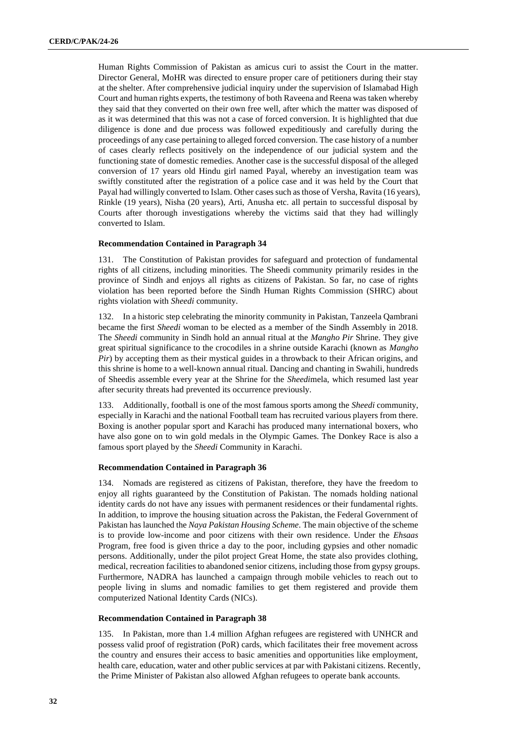Human Rights Commission of Pakistan as amicus curi to assist the Court in the matter. Director General, MoHR was directed to ensure proper care of petitioners during their stay at the shelter. After comprehensive judicial inquiry under the supervision of Islamabad High Court and human rights experts, the testimony of both Raveena and Reena was taken whereby they said that they converted on their own free well, after which the matter was disposed of as it was determined that this was not a case of forced conversion. It is highlighted that due diligence is done and due process was followed expeditiously and carefully during the proceedings of any case pertaining to alleged forced conversion. The case history of a number of cases clearly reflects positively on the independence of our judicial system and the functioning state of domestic remedies. Another case is the successful disposal of the alleged conversion of 17 years old Hindu girl named Payal, whereby an investigation team was swiftly constituted after the registration of a police case and it was held by the Court that Payal had willingly converted to Islam. Other cases such as those of Versha, Ravita (16 years), Rinkle (19 years), Nisha (20 years), Arti, Anusha etc. all pertain to successful disposal by Courts after thorough investigations whereby the victims said that they had willingly converted to Islam.

# **Recommendation Contained in Paragraph 34**

131. The Constitution of Pakistan provides for safeguard and protection of fundamental rights of all citizens, including minorities. The Sheedi community primarily resides in the province of Sindh and enjoys all rights as citizens of Pakistan. So far, no case of rights violation has been reported before the Sindh Human Rights Commission (SHRC) about rights violation with *Sheedi* community.

132. In a historic step celebrating the minority community in Pakistan, Tanzeela Qambrani became the first *Sheedi* woman to be elected as a member of the Sindh Assembly in 2018. The *Sheedi* community in Sindh hold an annual ritual at the *Mangho Pir* Shrine. They give great spiritual significance to the crocodiles in a shrine outside Karachi (known as *Mangho Pir*) by accepting them as their mystical guides in a throwback to their African origins, and this shrine is home to a well-known annual ritual. Dancing and chanting in Swahili, hundreds of Sheedis assemble every year at the Shrine for the *Sheedi*mela, which resumed last year after security threats had prevented its occurrence previously.

133. Additionally, football is one of the most famous sports among the *Sheedi* community, especially in Karachi and the national Football team has recruited various players from there. Boxing is another popular sport and Karachi has produced many international boxers, who have also gone on to win gold medals in the Olympic Games. The Donkey Race is also a famous sport played by the *Sheedi* Community in Karachi.

# **Recommendation Contained in Paragraph 36**

134. Nomads are registered as citizens of Pakistan, therefore, they have the freedom to enjoy all rights guaranteed by the Constitution of Pakistan. The nomads holding national identity cards do not have any issues with permanent residences or their fundamental rights. In addition, to improve the housing situation across the Pakistan, the Federal Government of Pakistan has launched the *Naya Pakistan Housing Scheme*. The main objective of the scheme is to provide low-income and poor citizens with their own residence. Under the *Ehsaas* Program, free food is given thrice a day to the poor, including gypsies and other nomadic persons. Additionally, under the pilot project Great Home, the state also provides clothing, medical, recreation facilities to abandoned senior citizens, including those from gypsy groups. Furthermore, NADRA has launched a campaign through mobile vehicles to reach out to people living in slums and nomadic families to get them registered and provide them computerized National Identity Cards (NICs).

# **Recommendation Contained in Paragraph 38**

135. In Pakistan, more than 1.4 million Afghan refugees are registered with UNHCR and possess valid proof of registration (PoR) cards, which facilitates their free movement across the country and ensures their access to basic amenities and opportunities like employment, health care, education, water and other public services at par with Pakistani citizens. Recently, the Prime Minister of Pakistan also allowed Afghan refugees to operate bank accounts.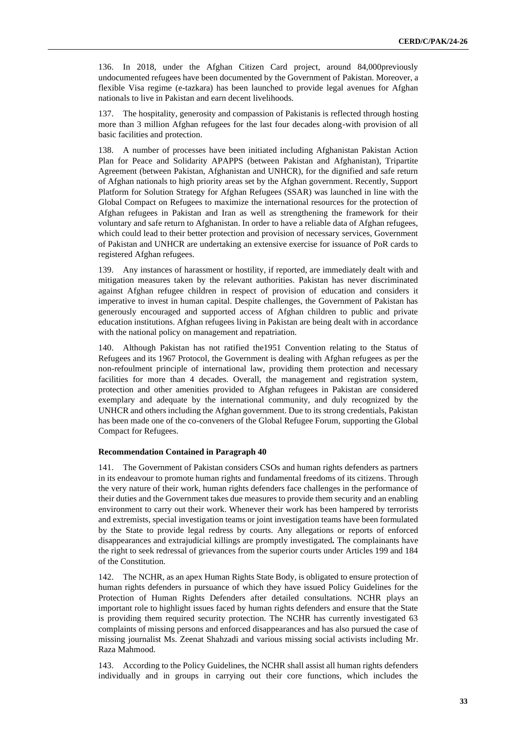136. In 2018, under the Afghan Citizen Card project, around 84,000previously undocumented refugees have been documented by the Government of Pakistan. Moreover, a flexible Visa regime (e-tazkara) has been launched to provide legal avenues for Afghan nationals to live in Pakistan and earn decent livelihoods.

137. The hospitality, generosity and compassion of Pakistanis is reflected through hosting more than 3 million Afghan refugees for the last four decades along-with provision of all basic facilities and protection.

138. A number of processes have been initiated including Afghanistan Pakistan Action Plan for Peace and Solidarity APAPPS (between Pakistan and Afghanistan), Tripartite Agreement (between Pakistan, Afghanistan and UNHCR), for the dignified and safe return of Afghan nationals to high priority areas set by the Afghan government. Recently, Support Platform for Solution Strategy for Afghan Refugees (SSAR) was launched in line with the Global Compact on Refugees to maximize the international resources for the protection of Afghan refugees in Pakistan and Iran as well as strengthening the framework for their voluntary and safe return to Afghanistan. In order to have a reliable data of Afghan refugees, which could lead to their better protection and provision of necessary services, Government of Pakistan and UNHCR are undertaking an extensive exercise for issuance of PoR cards to registered Afghan refugees.

139. Any instances of harassment or hostility, if reported, are immediately dealt with and mitigation measures taken by the relevant authorities. Pakistan has never discriminated against Afghan refugee children in respect of provision of education and considers it imperative to invest in human capital. Despite challenges, the Government of Pakistan has generously encouraged and supported access of Afghan children to public and private education institutions. Afghan refugees living in Pakistan are being dealt with in accordance with the national policy on management and repatriation.

140. Although Pakistan has not ratified the1951 Convention relating to the Status of Refugees and its 1967 Protocol, the Government is dealing with Afghan refugees as per the non-refoulment principle of international law, providing them protection and necessary facilities for more than 4 decades. Overall, the management and registration system, protection and other amenities provided to Afghan refugees in Pakistan are considered exemplary and adequate by the international community, and duly recognized by the UNHCR and others including the Afghan government. Due to its strong credentials, Pakistan has been made one of the co-conveners of the Global Refugee Forum, supporting the Global Compact for Refugees.

#### **Recommendation Contained in Paragraph 40**

141. The Government of Pakistan considers CSOs and human rights defenders as partners in its endeavour to promote human rights and fundamental freedoms of its citizens. Through the very nature of their work, human rights defenders face challenges in the performance of their duties and the Government takes due measures to provide them security and an enabling environment to carry out their work. Whenever their work has been hampered by terrorists and extremists, special investigation teams or joint investigation teams have been formulated by the State to provide legal redress by courts. Any allegations or reports of enforced disappearances and extrajudicial killings are promptly investigated*.* The complainants have the right to seek redressal of grievances from the superior courts under Articles 199 and 184 of the Constitution.

142. The NCHR, as an apex Human Rights State Body, is obligated to ensure protection of human rights defenders in pursuance of which they have issued Policy Guidelines for the Protection of Human Rights Defenders after detailed consultations. NCHR plays an important role to highlight issues faced by human rights defenders and ensure that the State is providing them required security protection. The NCHR has currently investigated 63 complaints of missing persons and enforced disappearances and has also pursued the case of missing journalist Ms. Zeenat Shahzadi and various missing social activists including Mr. Raza Mahmood.

143. According to the Policy Guidelines, the NCHR shall assist all human rights defenders individually and in groups in carrying out their core functions, which includes the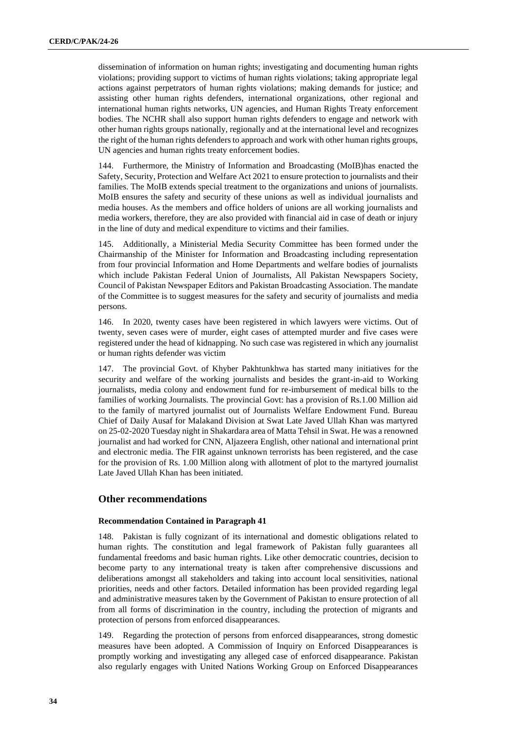dissemination of information on human rights; investigating and documenting human rights violations; providing support to victims of human rights violations; taking appropriate legal actions against perpetrators of human rights violations; making demands for justice; and assisting other human rights defenders, international organizations, other regional and international human rights networks, UN agencies, and Human Rights Treaty enforcement bodies. The NCHR shall also support human rights defenders to engage and network with other human rights groups nationally, regionally and at the international level and recognizes the right of the human rights defenders to approach and work with other human rights groups, UN agencies and human rights treaty enforcement bodies.

144. Furthermore, the Ministry of Information and Broadcasting (MoIB)has enacted the Safety, Security, Protection and Welfare Act 2021 to ensure protection to journalists and their families. The MoIB extends special treatment to the organizations and unions of journalists. MoIB ensures the safety and security of these unions as well as individual journalists and media houses. As the members and office holders of unions are all working journalists and media workers, therefore, they are also provided with financial aid in case of death or injury in the line of duty and medical expenditure to victims and their families.

145. Additionally, a Ministerial Media Security Committee has been formed under the Chairmanship of the Minister for Information and Broadcasting including representation from four provincial Information and Home Departments and welfare bodies of journalists which include Pakistan Federal Union of Journalists, All Pakistan Newspapers Society, Council of Pakistan Newspaper Editors and Pakistan Broadcasting Association. The mandate of the Committee is to suggest measures for the safety and security of journalists and media persons.

146. In 2020, twenty cases have been registered in which lawyers were victims. Out of twenty, seven cases were of murder, eight cases of attempted murder and five cases were registered under the head of kidnapping. No such case was registered in which any journalist or human rights defender was victim

147. The provincial Govt. of Khyber Pakhtunkhwa has started many initiatives for the security and welfare of the working journalists and besides the grant-in-aid to Working journalists, media colony and endowment fund for re-imbursement of medical bills to the families of working Journalists. The provincial Govt: has a provision of Rs.1.00 Million aid to the family of martyred journalist out of Journalists Welfare Endowment Fund. Bureau Chief of Daily Ausaf for Malakand Division at Swat Late Javed Ullah Khan was martyred on 25-02-2020 Tuesday night in Shakardara area of Matta Tehsil in Swat. He was a renowned journalist and had worked for CNN, Aljazeera English, other national and international print and electronic media. The FIR against unknown terrorists has been registered, and the case for the provision of Rs. 1.00 Million along with allotment of plot to the martyred journalist Late Javed Ullah Khan has been initiated.

# **Other recommendations**

# **Recommendation Contained in Paragraph 41**

148. Pakistan is fully cognizant of its international and domestic obligations related to human rights. The constitution and legal framework of Pakistan fully guarantees all fundamental freedoms and basic human rights. Like other democratic countries, decision to become party to any international treaty is taken after comprehensive discussions and deliberations amongst all stakeholders and taking into account local sensitivities, national priorities, needs and other factors. Detailed information has been provided regarding legal and administrative measures taken by the Government of Pakistan to ensure protection of all from all forms of discrimination in the country, including the protection of migrants and protection of persons from enforced disappearances.

149. Regarding the protection of persons from enforced disappearances, strong domestic measures have been adopted. A Commission of Inquiry on Enforced Disappearances is promptly working and investigating any alleged case of enforced disappearance. Pakistan also regularly engages with United Nations Working Group on Enforced Disappearances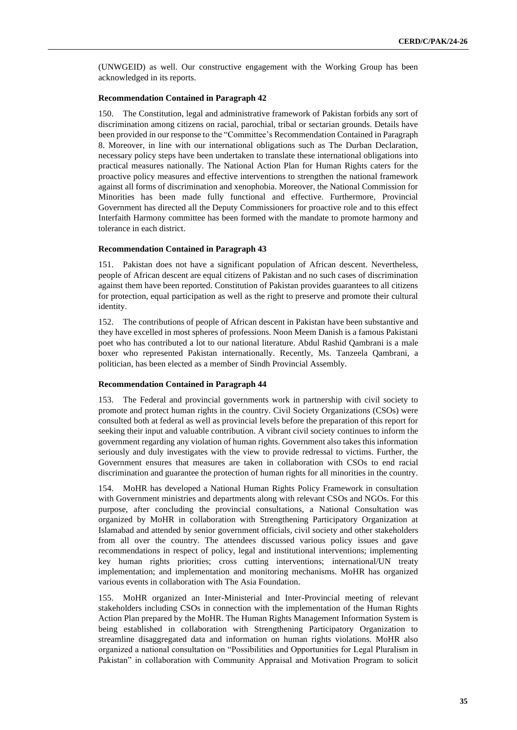(UNWGEID) as well. Our constructive engagement with the Working Group has been acknowledged in its reports.

#### **Recommendation Contained in Paragraph 42**

150. The Constitution, legal and administrative framework of Pakistan forbids any sort of discrimination among citizens on racial, parochial, tribal or sectarian grounds. Details have been provided in our response to the "Committee's Recommendation Contained in Paragraph 8. Moreover, in line with our international obligations such as The Durban Declaration, necessary policy steps have been undertaken to translate these international obligations into practical measures nationally. The National Action Plan for Human Rights caters for the proactive policy measures and effective interventions to strengthen the national framework against all forms of discrimination and xenophobia. Moreover, the National Commission for Minorities has been made fully functional and effective. Furthermore, Provincial Government has directed all the Deputy Commissioners for proactive role and to this effect Interfaith Harmony committee has been formed with the mandate to promote harmony and tolerance in each district.

#### **Recommendation Contained in Paragraph 43**

Pakistan does not have a significant population of African descent. Nevertheless, people of African descent are equal citizens of Pakistan and no such cases of discrimination against them have been reported. Constitution of Pakistan provides guarantees to all citizens for protection, equal participation as well as the right to preserve and promote their cultural identity.

152. The contributions of people of African descent in Pakistan have been substantive and they have excelled in most spheres of professions. Noon Meem Danish is a famous Pakistani poet who has contributed a lot to our national literature. Abdul Rashid Qambrani is a male boxer who represented Pakistan internationally. Recently, Ms. Tanzeela Qambrani, a politician, has been elected as a member of Sindh Provincial Assembly.

#### **Recommendation Contained in Paragraph 44**

153. The Federal and provincial governments work in partnership with civil society to promote and protect human rights in the country. Civil Society Organizations (CSOs) were consulted both at federal as well as provincial levels before the preparation of this report for seeking their input and valuable contribution. A vibrant civil society continues to inform the government regarding any violation of human rights. Government also takes this information seriously and duly investigates with the view to provide redressal to victims. Further, the Government ensures that measures are taken in collaboration with CSOs to end racial discrimination and guarantee the protection of human rights for all minorities in the country.

154. MoHR has developed a National Human Rights Policy Framework in consultation with Government ministries and departments along with relevant CSOs and NGOs. For this purpose, after concluding the provincial consultations, a National Consultation was organized by MoHR in collaboration with Strengthening Participatory Organization at Islamabad and attended by senior government officials, civil society and other stakeholders from all over the country. The attendees discussed various policy issues and gave recommendations in respect of policy, legal and institutional interventions; implementing key human rights priorities; cross cutting interventions; international/UN treaty implementation; and implementation and monitoring mechanisms. MoHR has organized various events in collaboration with The Asia Foundation.

155. MoHR organized an Inter-Ministerial and Inter-Provincial meeting of relevant stakeholders including CSOs in connection with the implementation of the Human Rights Action Plan prepared by the MoHR. The Human Rights Management Information System is being established in collaboration with Strengthening Participatory Organization to streamline disaggregated data and information on human rights violations. MoHR also organized a national consultation on "Possibilities and Opportunities for Legal Pluralism in Pakistan" in collaboration with Community Appraisal and Motivation Program to solicit